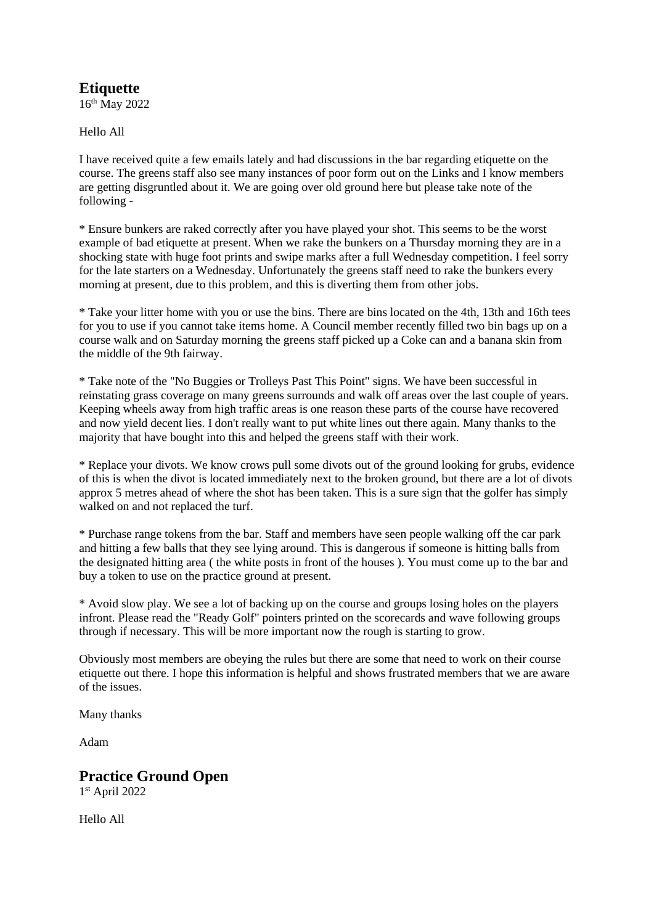### **Etiquette**

16th May 2022

Hello All

I have received quite a few emails lately and had discussions in the bar regarding etiquette on the course. The greens staff also see many instances of poor form out on the Links and I know members are getting disgruntled about it. We are going over old ground here but please take note of the following -

\* Ensure bunkers are raked correctly after you have played your shot. This seems to be the worst example of bad etiquette at present. When we rake the bunkers on a Thursday morning they are in a shocking state with huge foot prints and swipe marks after a full Wednesday competition. I feel sorry for the late starters on a Wednesday. Unfortunately the greens staff need to rake the bunkers every morning at present, due to this problem, and this is diverting them from other jobs.

\* Take your litter home with you or use the bins. There are bins located on the 4th, 13th and 16th tees for you to use if you cannot take items home. A Council member recently filled two bin bags up on a course walk and on Saturday morning the greens staff picked up a Coke can and a banana skin from the middle of the 9th fairway.

\* Take note of the "No Buggies or Trolleys Past This Point" signs. We have been successful in reinstating grass coverage on many greens surrounds and walk off areas over the last couple of years. Keeping wheels away from high traffic areas is one reason these parts of the course have recovered and now yield decent lies. I don't really want to put white lines out there again. Many thanks to the majority that have bought into this and helped the greens staff with their work.

\* Replace your divots. We know crows pull some divots out of the ground looking for grubs, evidence of this is when the divot is located immediately next to the broken ground, but there are a lot of divots approx 5 metres ahead of where the shot has been taken. This is a sure sign that the golfer has simply walked on and not replaced the turf.

\* Purchase range tokens from the bar. Staff and members have seen people walking off the car park and hitting a few balls that they see lying around. This is dangerous if someone is hitting balls from the designated hitting area ( the white posts in front of the houses ). You must come up to the bar and buy a token to use on the practice ground at present.

\* Avoid slow play. We see a lot of backing up on the course and groups losing holes on the players infront. Please read the "Ready Golf" pointers printed on the scorecards and wave following groups through if necessary. This will be more important now the rough is starting to grow.

Obviously most members are obeying the rules but there are some that need to work on their course etiquette out there. I hope this information is helpful and shows frustrated members that we are aware of the issues.

Many thanks

Adam

### **Practice Ground Open**

1 st April 2022

Hello All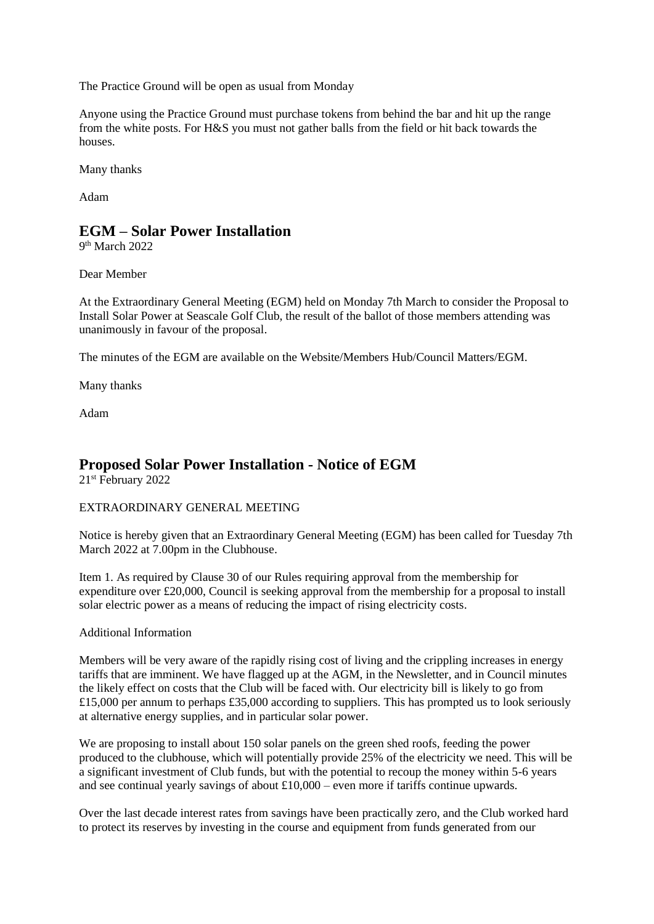The Practice Ground will be open as usual from Monday

Anyone using the Practice Ground must purchase tokens from behind the bar and hit up the range from the white posts. For H&S you must not gather balls from the field or hit back towards the houses.

Many thanks

Adam

### **EGM – Solar Power Installation**

9<sup>th</sup> March 2022

Dear Member

At the Extraordinary General Meeting (EGM) held on Monday 7th March to consider the Proposal to Install Solar Power at Seascale Golf Club, the result of the ballot of those members attending was unanimously in favour of the proposal.

The minutes of the EGM are available on the Website/Members Hub/Council Matters/EGM.

Many thanks

Adam

# **Proposed Solar Power Installation - Notice of EGM**

21st February 2022

#### EXTRAORDINARY GENERAL MEETING

Notice is hereby given that an Extraordinary General Meeting (EGM) has been called for Tuesday 7th March 2022 at 7.00pm in the Clubhouse.

Item 1. As required by Clause 30 of our Rules requiring approval from the membership for expenditure over £20,000, Council is seeking approval from the membership for a proposal to install solar electric power as a means of reducing the impact of rising electricity costs.

#### Additional Information

Members will be very aware of the rapidly rising cost of living and the crippling increases in energy tariffs that are imminent. We have flagged up at the AGM, in the Newsletter, and in Council minutes the likely effect on costs that the Club will be faced with. Our electricity bill is likely to go from £15,000 per annum to perhaps £35,000 according to suppliers. This has prompted us to look seriously at alternative energy supplies, and in particular solar power.

We are proposing to install about 150 solar panels on the green shed roofs, feeding the power produced to the clubhouse, which will potentially provide 25% of the electricity we need. This will be a significant investment of Club funds, but with the potential to recoup the money within 5-6 years and see continual yearly savings of about £10,000 – even more if tariffs continue upwards.

Over the last decade interest rates from savings have been practically zero, and the Club worked hard to protect its reserves by investing in the course and equipment from funds generated from our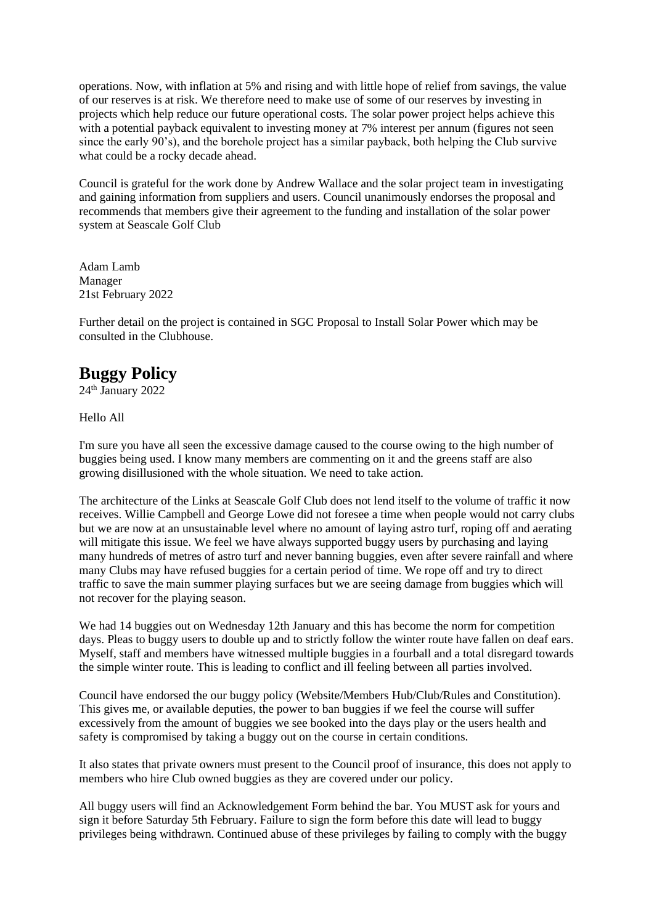operations. Now, with inflation at 5% and rising and with little hope of relief from savings, the value of our reserves is at risk. We therefore need to make use of some of our reserves by investing in projects which help reduce our future operational costs. The solar power project helps achieve this with a potential payback equivalent to investing money at 7% interest per annum (figures not seen since the early 90's), and the borehole project has a similar payback, both helping the Club survive what could be a rocky decade ahead.

Council is grateful for the work done by Andrew Wallace and the solar project team in investigating and gaining information from suppliers and users. Council unanimously endorses the proposal and recommends that members give their agreement to the funding and installation of the solar power system at Seascale Golf Club

Adam Lamb Manager 21st February 2022

Further detail on the project is contained in SGC Proposal to Install Solar Power which may be consulted in the Clubhouse.

# **Buggy Policy**

 $24<sup>th</sup>$  January 2022

#### Hello All

I'm sure you have all seen the excessive damage caused to the course owing to the high number of buggies being used. I know many members are commenting on it and the greens staff are also growing disillusioned with the whole situation. We need to take action.

The architecture of the Links at Seascale Golf Club does not lend itself to the volume of traffic it now receives. Willie Campbell and George Lowe did not foresee a time when people would not carry clubs but we are now at an unsustainable level where no amount of laying astro turf, roping off and aerating will mitigate this issue. We feel we have always supported buggy users by purchasing and laying many hundreds of metres of astro turf and never banning buggies, even after severe rainfall and where many Clubs may have refused buggies for a certain period of time. We rope off and try to direct traffic to save the main summer playing surfaces but we are seeing damage from buggies which will not recover for the playing season.

We had 14 buggies out on Wednesday 12th January and this has become the norm for competition days. Pleas to buggy users to double up and to strictly follow the winter route have fallen on deaf ears. Myself, staff and members have witnessed multiple buggies in a fourball and a total disregard towards the simple winter route. This is leading to conflict and ill feeling between all parties involved.

Council have endorsed the our buggy policy (Website/Members Hub/Club/Rules and Constitution). This gives me, or available deputies, the power to ban buggies if we feel the course will suffer excessively from the amount of buggies we see booked into the days play or the users health and safety is compromised by taking a buggy out on the course in certain conditions.

It also states that private owners must present to the Council proof of insurance, this does not apply to members who hire Club owned buggies as they are covered under our policy.

All buggy users will find an Acknowledgement Form behind the bar. You MUST ask for yours and sign it before Saturday 5th February. Failure to sign the form before this date will lead to buggy privileges being withdrawn. Continued abuse of these privileges by failing to comply with the buggy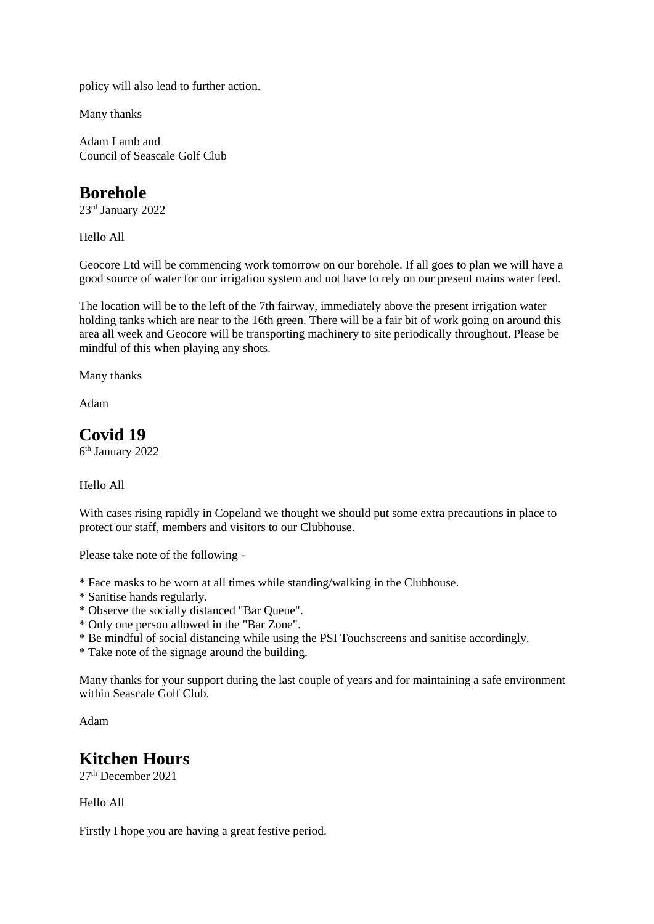policy will also lead to further action.

Many thanks

Adam Lamb and Council of Seascale Golf Club

### **Borehole**

23rd January 2022

Hello All

Geocore Ltd will be commencing work tomorrow on our borehole. If all goes to plan we will have a good source of water for our irrigation system and not have to rely on our present mains water feed.

The location will be to the left of the 7th fairway, immediately above the present irrigation water holding tanks which are near to the 16th green. There will be a fair bit of work going on around this area all week and Geocore will be transporting machinery to site periodically throughout. Please be mindful of this when playing any shots.

Many thanks

Adam

# **Covid 19**

6 th January 2022

#### Hello All

With cases rising rapidly in Copeland we thought we should put some extra precautions in place to protect our staff, members and visitors to our Clubhouse.

Please take note of the following -

- \* Face masks to be worn at all times while standing/walking in the Clubhouse.
- \* Sanitise hands regularly.
- \* Observe the socially distanced "Bar Queue".
- \* Only one person allowed in the "Bar Zone".
- \* Be mindful of social distancing while using the PSI Touchscreens and sanitise accordingly.
- \* Take note of the signage around the building.

Many thanks for your support during the last couple of years and for maintaining a safe environment within Seascale Golf Club.

Adam

### **Kitchen Hours**

27th December 2021

Hello All

Firstly I hope you are having a great festive period.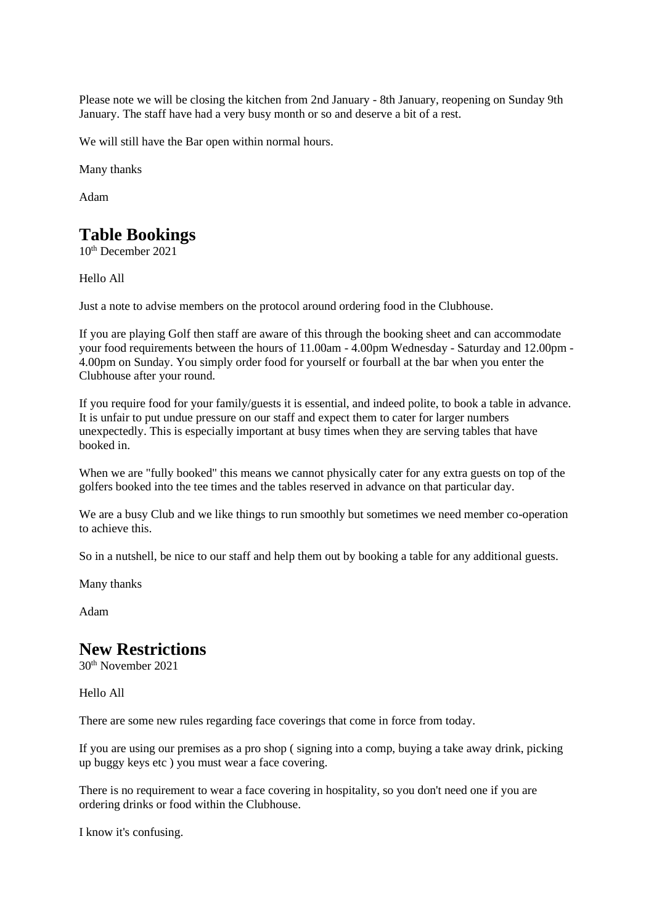Please note we will be closing the kitchen from 2nd January - 8th January, reopening on Sunday 9th January. The staff have had a very busy month or so and deserve a bit of a rest.

We will still have the Bar open within normal hours.

Many thanks

Adam

# **Table Bookings**

10th December 2021

Hello All

Just a note to advise members on the protocol around ordering food in the Clubhouse.

If you are playing Golf then staff are aware of this through the booking sheet and can accommodate your food requirements between the hours of 11.00am - 4.00pm Wednesday - Saturday and 12.00pm - 4.00pm on Sunday. You simply order food for yourself or fourball at the bar when you enter the Clubhouse after your round.

If you require food for your family/guests it is essential, and indeed polite, to book a table in advance. It is unfair to put undue pressure on our staff and expect them to cater for larger numbers unexpectedly. This is especially important at busy times when they are serving tables that have booked in.

When we are "fully booked" this means we cannot physically cater for any extra guests on top of the golfers booked into the tee times and the tables reserved in advance on that particular day.

We are a busy Club and we like things to run smoothly but sometimes we need member co-operation to achieve this.

So in a nutshell, be nice to our staff and help them out by booking a table for any additional guests.

Many thanks

Adam

### **New Restrictions**

30th November 2021

Hello All

There are some new rules regarding face coverings that come in force from today.

If you are using our premises as a pro shop ( signing into a comp, buying a take away drink, picking up buggy keys etc ) you must wear a face covering.

There is no requirement to wear a face covering in hospitality, so you don't need one if you are ordering drinks or food within the Clubhouse.

I know it's confusing.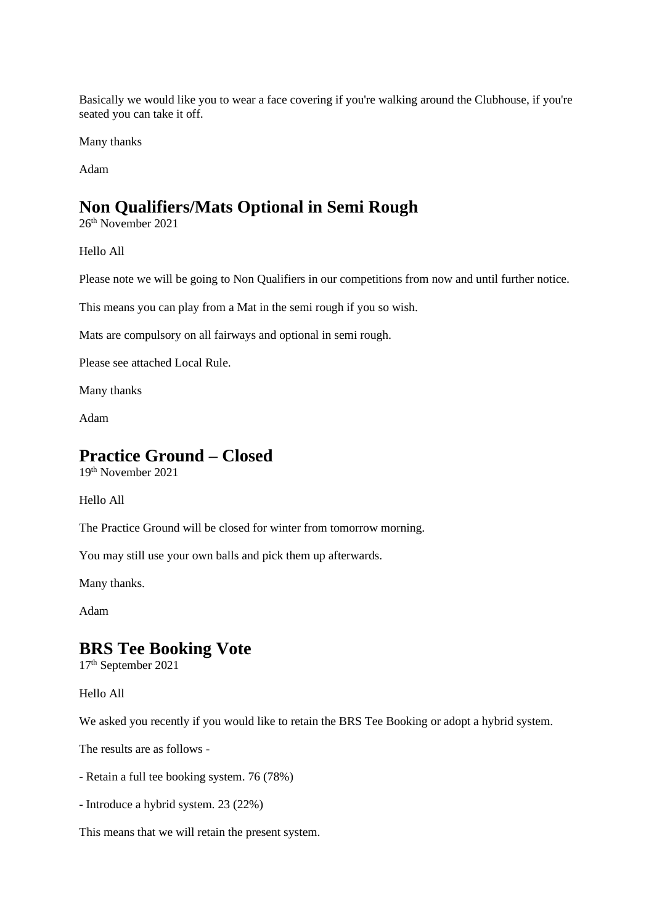Basically we would like you to wear a face covering if you're walking around the Clubhouse, if you're seated you can take it off.

Many thanks

Adam

### **Non Qualifiers/Mats Optional in Semi Rough**

26th November 2021

Hello All

Please note we will be going to Non Qualifiers in our competitions from now and until further notice.

This means you can play from a Mat in the semi rough if you so wish.

Mats are compulsory on all fairways and optional in semi rough.

Please see attached Local Rule.

Many thanks

Adam

### **Practice Ground – Closed**

19th November 2021

Hello All

The Practice Ground will be closed for winter from tomorrow morning.

You may still use your own balls and pick them up afterwards.

Many thanks.

Adam

### **BRS Tee Booking Vote**

17th September 2021

Hello All

We asked you recently if you would like to retain the BRS Tee Booking or adopt a hybrid system.

The results are as follows -

- Retain a full tee booking system. 76 (78%)
- Introduce a hybrid system. 23 (22%)

This means that we will retain the present system.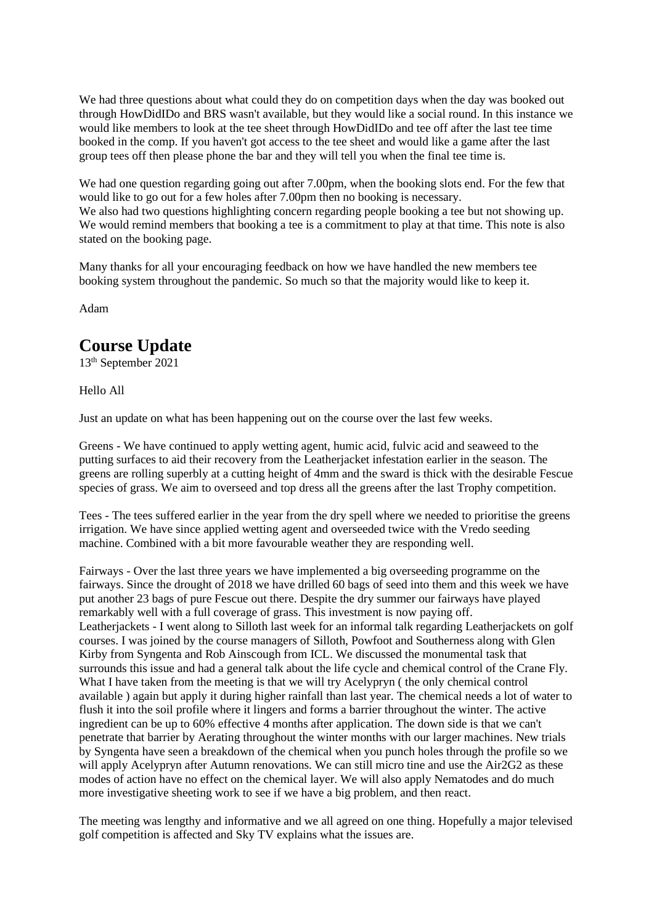We had three questions about what could they do on competition days when the day was booked out through HowDidIDo and BRS wasn't available, but they would like a social round. In this instance we would like members to look at the tee sheet through HowDidIDo and tee off after the last tee time booked in the comp. If you haven't got access to the tee sheet and would like a game after the last group tees off then please phone the bar and they will tell you when the final tee time is.

We had one question regarding going out after 7.00pm, when the booking slots end. For the few that would like to go out for a few holes after 7.00pm then no booking is necessary. We also had two questions highlighting concern regarding people booking a tee but not showing up. We would remind members that booking a tee is a commitment to play at that time. This note is also stated on the booking page.

Many thanks for all your encouraging feedback on how we have handled the new members tee booking system throughout the pandemic. So much so that the majority would like to keep it.

Adam

# **Course Update**

13th September 2021

Hello All

Just an update on what has been happening out on the course over the last few weeks.

Greens - We have continued to apply wetting agent, humic acid, fulvic acid and seaweed to the putting surfaces to aid their recovery from the Leatherjacket infestation earlier in the season. The greens are rolling superbly at a cutting height of 4mm and the sward is thick with the desirable Fescue species of grass. We aim to overseed and top dress all the greens after the last Trophy competition.

Tees - The tees suffered earlier in the year from the dry spell where we needed to prioritise the greens irrigation. We have since applied wetting agent and overseeded twice with the Vredo seeding machine. Combined with a bit more favourable weather they are responding well.

Fairways - Over the last three years we have implemented a big overseeding programme on the fairways. Since the drought of 2018 we have drilled 60 bags of seed into them and this week we have put another 23 bags of pure Fescue out there. Despite the dry summer our fairways have played remarkably well with a full coverage of grass. This investment is now paying off. Leatherjackets - I went along to Silloth last week for an informal talk regarding Leatherjackets on golf courses. I was joined by the course managers of Silloth, Powfoot and Southerness along with Glen Kirby from Syngenta and Rob Ainscough from ICL. We discussed the monumental task that surrounds this issue and had a general talk about the life cycle and chemical control of the Crane Fly. What I have taken from the meeting is that we will try Acelypryn ( the only chemical control available ) again but apply it during higher rainfall than last year. The chemical needs a lot of water to flush it into the soil profile where it lingers and forms a barrier throughout the winter. The active ingredient can be up to 60% effective 4 months after application. The down side is that we can't penetrate that barrier by Aerating throughout the winter months with our larger machines. New trials by Syngenta have seen a breakdown of the chemical when you punch holes through the profile so we will apply Acelypryn after Autumn renovations. We can still micro tine and use the Air2G2 as these modes of action have no effect on the chemical layer. We will also apply Nematodes and do much more investigative sheeting work to see if we have a big problem, and then react.

The meeting was lengthy and informative and we all agreed on one thing. Hopefully a major televised golf competition is affected and Sky TV explains what the issues are.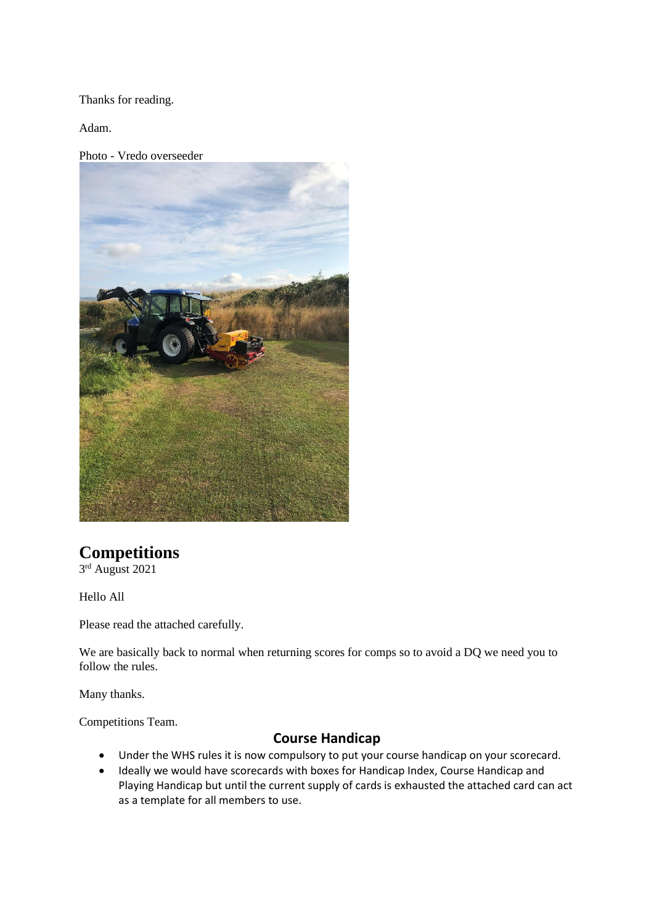Thanks for reading.

Adam.

Photo - Vredo overseeder



# **Competitions**

3 rd August 2021

Hello All

Please read the attached carefully.

We are basically back to normal when returning scores for comps so to avoid a DQ we need you to follow the rules.

Many thanks.

Competitions Team.

### **Course Handicap**

- Under the WHS rules it is now compulsory to put your course handicap on your scorecard.
- Ideally we would have scorecards with boxes for Handicap Index, Course Handicap and Playing Handicap but until the current supply of cards is exhausted the attached card can act as a template for all members to use.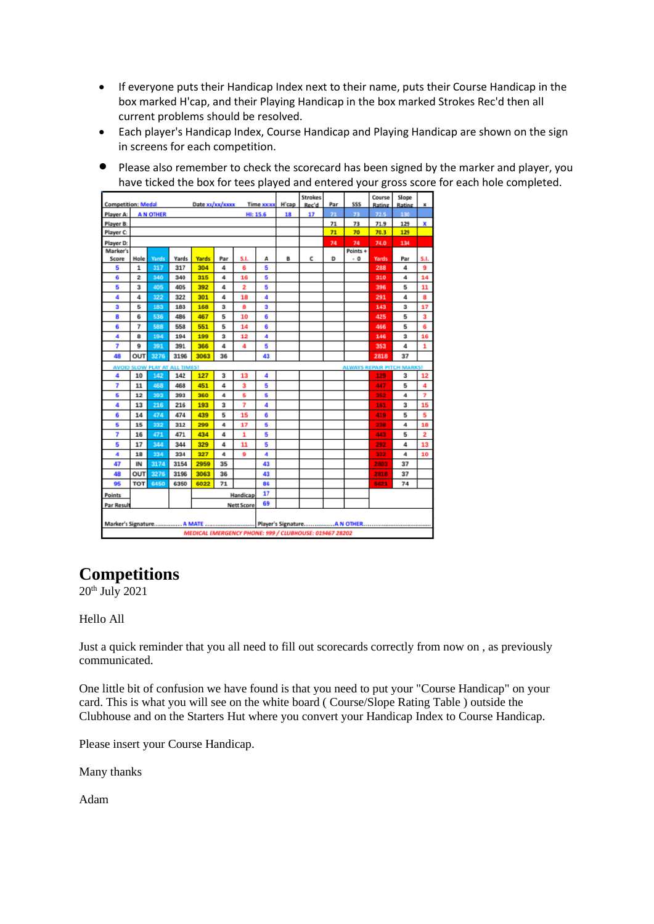- If everyone puts their Handicap Index next to their name, puts their Course Handicap in the box marked H'cap, and their Playing Handicap in the box marked Strokes Rec'd then all current problems should be resolved.
- Each player's Handicap Index, Course Handicap and Playing Handicap are shown on the sign in screens for each competition.
- Please also remember to check the scorecard has been signed by the marker and player, you have ticked the box for tees played and entered your gross score for each hole completed.

| <b>Competition: Medal</b><br>Date xx/xx/xxxx                              |                             |              |       |                         |     |     | Time xx:xx | H'cap | <b>Strokes</b><br>Rec'd                                | Par | 555      | Course<br>Rating | Slope<br>Rating | Ж                       |  |
|---------------------------------------------------------------------------|-----------------------------|--------------|-------|-------------------------|-----|-----|------------|-------|--------------------------------------------------------|-----|----------|------------------|-----------------|-------------------------|--|
| Player A:                                                                 | <b>AN OTHER</b><br>HI: 15.6 |              |       |                         |     |     |            | 18    | 17                                                     | 71  | 73       | 72.5             | 130             |                         |  |
| Player B:                                                                 |                             |              |       |                         |     |     |            |       |                                                        | 71  | 73       | 71.9             | 129             | x                       |  |
| Player C:                                                                 |                             |              |       |                         |     |     |            |       |                                                        | 71  | 70       | 70.3             | 129             |                         |  |
| Player D:                                                                 |                             |              |       |                         |     |     |            |       |                                                        | 74  | 74       | 74.0             | 134             |                         |  |
| Marker's                                                                  |                             |              |       |                         |     |     |            |       |                                                        |     | Points + |                  |                 |                         |  |
| Score                                                                     | Hole                        | <b>Yards</b> | Yards | <b>Yards</b>            | Par | S.L | A          | B     | c                                                      | D   | - 0      | <b>Yards</b>     | Par             | S.I.                    |  |
| 5                                                                         | 1                           | 317          | 317   | 304                     | 4   | 6   | 5          |       |                                                        |     |          | 288              | 4               | 9                       |  |
| 6                                                                         | 2                           | 340          | 340   | 315                     | 4   | 16  | 5          |       |                                                        |     |          | 310              | 4               | 14                      |  |
| 5                                                                         | 3                           | 405          | 405   | 392                     | 4   | 2   | 5          |       |                                                        |     |          | 396              | 5               | 11                      |  |
| 4                                                                         | 4                           | 322          | 322   | 301                     | 4   | 18  | 4          |       |                                                        |     |          | 291              | 4               | 8                       |  |
| 3                                                                         | 5                           | 183          | 183   | 168                     | 3   | 8   | 3          |       |                                                        |     |          | 143              | 3               | 17                      |  |
| 8                                                                         | 6                           | 536          | 486   | 467                     | 5   | 10  | 6          |       |                                                        |     |          | 425              | 5               | $\overline{\mathbf{3}}$ |  |
| 6                                                                         | 7                           | 588          | 558   | 551                     | 5   | 14  | 6          |       |                                                        |     |          | 466              | 5               | 6                       |  |
| 4                                                                         | 8                           | 194          | 194   | 199                     | 3   | 12  | 4          |       |                                                        |     |          | 146              | 3               | 16                      |  |
| 7                                                                         | 9                           | 391          | 391   | 366                     | 4   | 4   | 5          |       |                                                        |     |          | 353              | 4               | 1                       |  |
| 48                                                                        | OUT                         | 3276         | 3196  | 3063                    | 36  |     | 43         |       |                                                        |     |          | 2818             | 37              |                         |  |
| <b>ALWAYS REPAIR PITCH MARKS!</b><br><b>AVOID SLOW PLAY AT ALL TIMES!</b> |                             |              |       |                         |     |     |            |       |                                                        |     |          |                  |                 |                         |  |
| 4                                                                         | 10                          | 142          | 142   | 127                     | 3   | 13  | 4          |       |                                                        |     |          | 129              | 3               | 12                      |  |
| 7                                                                         | 11                          | 468          | 468   | 451                     | 4   | 3   | 5          |       |                                                        |     |          | 447              | 5               | 4                       |  |
| 5                                                                         | 12                          | 393          | 393   | 360                     | 4   | 5   | 5          |       |                                                        |     |          | 352              | 4               | 7                       |  |
| 4                                                                         | 13                          | 216          | 216   | 193                     | 3   | 7   | 4          |       |                                                        |     |          | 161              | 3               | 15                      |  |
| 6                                                                         | 14                          | 474          | 474   | 439                     | 5   | 15  | 6          |       |                                                        |     |          | 419              | 5               | 5                       |  |
| 5                                                                         | 15                          | 332          | 312   | 299                     | 4   | 17  | 5          |       |                                                        |     |          | 238              | 4               | 18                      |  |
| 7                                                                         | 16                          | 471          | 471   | 434                     | 4   | 1   | 5          |       |                                                        |     |          | 443              | 5               | $\overline{2}$          |  |
| 5                                                                         | 17                          | 344          | 344   | 329                     | 4   | 11  | 5          |       |                                                        |     |          | 292              | 4               | 13                      |  |
| 4                                                                         | 18                          | 334          | 334   | 327                     | 4   | 9   | 4          |       |                                                        |     |          | 322              | 4               | 10                      |  |
| 47                                                                        | IN                          | 3174         | 3154  | 2959                    | 35  |     | 43         |       |                                                        |     |          | 2803             | 37              |                         |  |
| 48                                                                        | OUT                         | 3276         | 3196  | 3063                    | 36  |     | 43         |       |                                                        |     |          | 2818             | 37              |                         |  |
| 95                                                                        | <b>TOT</b>                  | 6450         | 6350  | 6022                    | 71  |     | 86         |       |                                                        |     |          | 5621             | 74              |                         |  |
| <b>Points</b>                                                             |                             |              |       | 17<br>Handicap          |     |     |            |       |                                                        |     |          |                  |                 |                         |  |
| Par Result                                                                |                             |              |       | 69<br><b>Nett Score</b> |     |     |            |       |                                                        |     |          |                  |                 |                         |  |
|                                                                           |                             |              |       |                         |     |     |            |       |                                                        |     |          |                  |                 |                         |  |
|                                                                           |                             |              |       |                         |     |     |            |       |                                                        |     |          |                  |                 |                         |  |
|                                                                           |                             |              |       |                         |     |     |            |       | MEDICAL EMERGENCY PHONE: 999 / CLUBHOUSE: 019467 28202 |     |          |                  |                 |                         |  |

# **Competitions**

 $20^{th}$  July 2021

Hello All

Just a quick reminder that you all need to fill out scorecards correctly from now on , as previously communicated.

One little bit of confusion we have found is that you need to put your "Course Handicap" on your card. This is what you will see on the white board ( Course/Slope Rating Table ) outside the Clubhouse and on the Starters Hut where you convert your Handicap Index to Course Handicap.

Please insert your Course Handicap.

Many thanks

Adam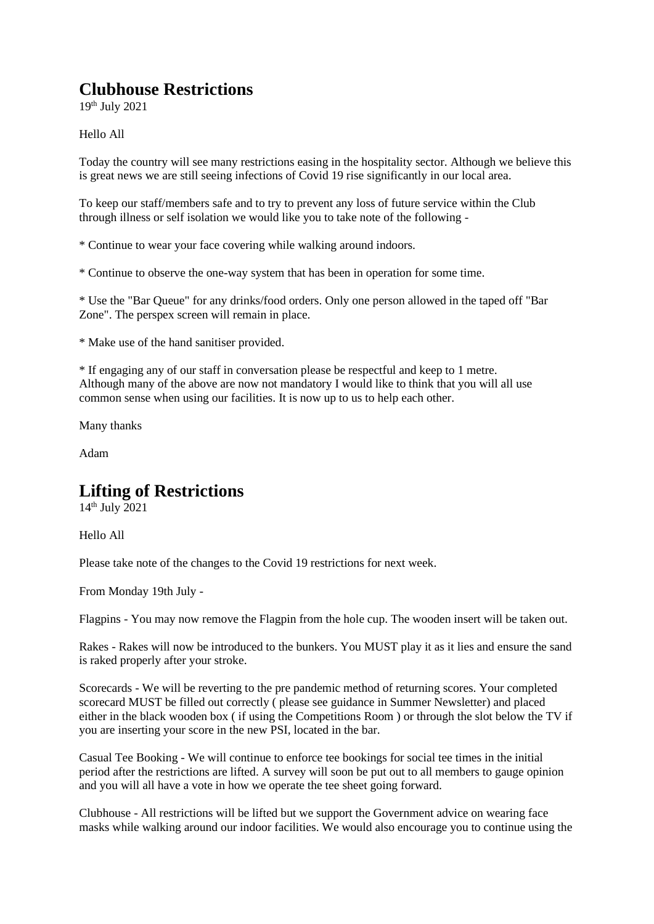# **Clubhouse Restrictions**

19th July 2021

#### Hello All

Today the country will see many restrictions easing in the hospitality sector. Although we believe this is great news we are still seeing infections of Covid 19 rise significantly in our local area.

To keep our staff/members safe and to try to prevent any loss of future service within the Club through illness or self isolation we would like you to take note of the following -

\* Continue to wear your face covering while walking around indoors.

\* Continue to observe the one-way system that has been in operation for some time.

\* Use the "Bar Queue" for any drinks/food orders. Only one person allowed in the taped off "Bar Zone". The perspex screen will remain in place.

\* Make use of the hand sanitiser provided.

\* If engaging any of our staff in conversation please be respectful and keep to 1 metre. Although many of the above are now not mandatory I would like to think that you will all use common sense when using our facilities. It is now up to us to help each other.

Many thanks

Adam

### **Lifting of Restrictions**

14th July 2021

Hello All

Please take note of the changes to the Covid 19 restrictions for next week.

From Monday 19th July -

Flagpins - You may now remove the Flagpin from the hole cup. The wooden insert will be taken out.

Rakes - Rakes will now be introduced to the bunkers. You MUST play it as it lies and ensure the sand is raked properly after your stroke.

Scorecards - We will be reverting to the pre pandemic method of returning scores. Your completed scorecard MUST be filled out correctly ( please see guidance in Summer Newsletter) and placed either in the black wooden box ( if using the Competitions Room ) or through the slot below the TV if you are inserting your score in the new PSI, located in the bar.

Casual Tee Booking - We will continue to enforce tee bookings for social tee times in the initial period after the restrictions are lifted. A survey will soon be put out to all members to gauge opinion and you will all have a vote in how we operate the tee sheet going forward.

Clubhouse - All restrictions will be lifted but we support the Government advice on wearing face masks while walking around our indoor facilities. We would also encourage you to continue using the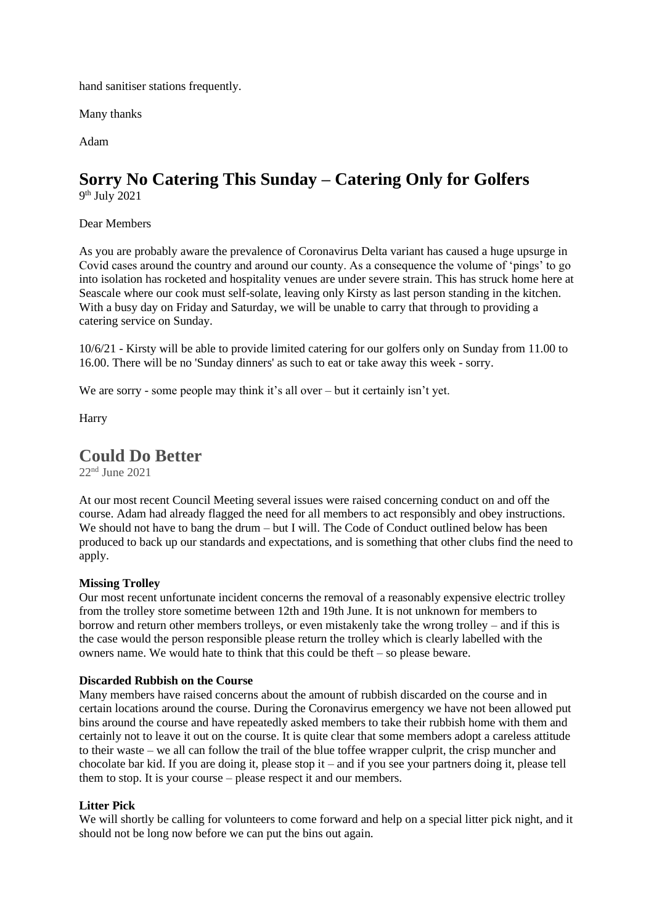hand sanitiser stations frequently.

Many thanks

Adam

# **Sorry No Catering This Sunday – Catering Only for Golfers**

9 th July 2021

Dear Members

As you are probably aware the prevalence of Coronavirus Delta variant has caused a huge upsurge in Covid cases around the country and around our county. As a consequence the volume of 'pings' to go into isolation has rocketed and hospitality venues are under severe strain. This has struck home here at Seascale where our cook must self-solate, leaving only Kirsty as last person standing in the kitchen. With a busy day on Friday and Saturday, we will be unable to carry that through to providing a catering service on Sunday.

10/6/21 - Kirsty will be able to provide limited catering for our golfers only on Sunday from 11.00 to 16.00. There will be no 'Sunday dinners' as such to eat or take away this week - sorry.

We are sorry - some people may think it's all over – but it certainly isn't yet.

Harry

### **Could Do Better**

22nd June 2021

At our most recent Council Meeting several issues were raised concerning conduct on and off the course. Adam had already flagged the need for all members to act responsibly and obey instructions. We should not have to bang the drum – but I will. The Code of Conduct outlined below has been produced to back up our standards and expectations, and is something that other clubs find the need to apply.

#### **Missing Trolley**

Our most recent unfortunate incident concerns the removal of a reasonably expensive electric trolley from the trolley store sometime between 12th and 19th June. It is not unknown for members to borrow and return other members trolleys, or even mistakenly take the wrong trolley – and if this is the case would the person responsible please return the trolley which is clearly labelled with the owners name. We would hate to think that this could be theft – so please beware.

#### **Discarded Rubbish on the Course**

Many members have raised concerns about the amount of rubbish discarded on the course and in certain locations around the course. During the Coronavirus emergency we have not been allowed put bins around the course and have repeatedly asked members to take their rubbish home with them and certainly not to leave it out on the course. It is quite clear that some members adopt a careless attitude to their waste – we all can follow the trail of the blue toffee wrapper culprit, the crisp muncher and chocolate bar kid. If you are doing it, please stop it – and if you see your partners doing it, please tell them to stop. It is your course – please respect it and our members.

#### **Litter Pick**

We will shortly be calling for volunteers to come forward and help on a special litter pick night, and it should not be long now before we can put the bins out again.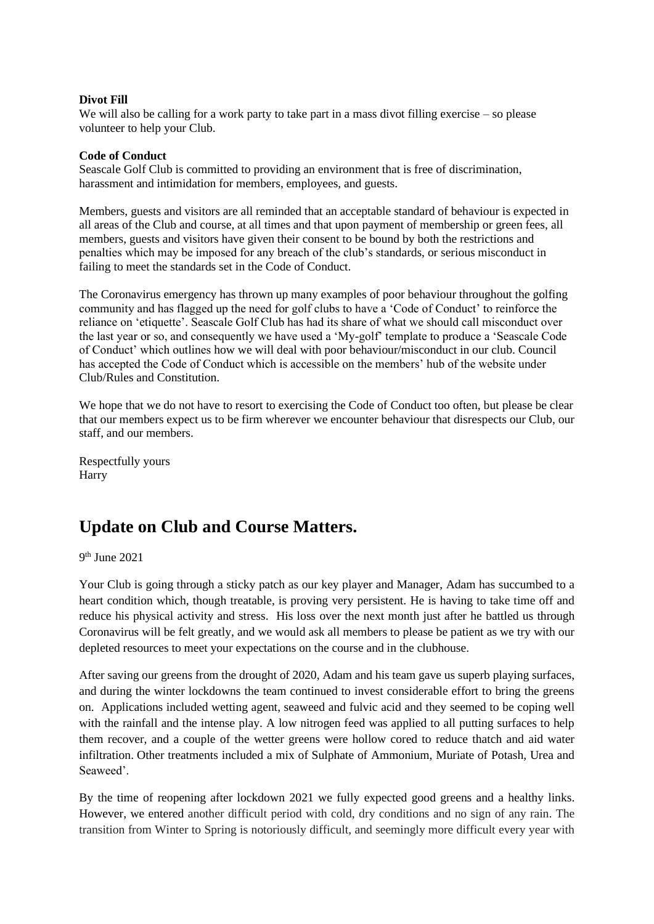#### **Divot Fill**

We will also be calling for a work party to take part in a mass divot filling exercise – so please volunteer to help your Club.

#### **Code of Conduct**

Seascale Golf Club is committed to providing an environment that is free of discrimination, harassment and intimidation for members, employees, and guests.

Members, guests and visitors are all reminded that an acceptable standard of behaviour is expected in all areas of the Club and course, at all times and that upon payment of membership or green fees, all members, guests and visitors have given their consent to be bound by both the restrictions and penalties which may be imposed for any breach of the club's standards, or serious misconduct in failing to meet the standards set in the Code of Conduct.

The Coronavirus emergency has thrown up many examples of poor behaviour throughout the golfing community and has flagged up the need for golf clubs to have a 'Code of Conduct' to reinforce the reliance on 'etiquette'. Seascale Golf Club has had its share of what we should call misconduct over the last year or so, and consequently we have used a 'My-golf' template to produce a 'Seascale Code of Conduct' which outlines how we will deal with poor behaviour/misconduct in our club. Council has accepted the Code of Conduct which is accessible on the members' hub of the website under Club/Rules and Constitution.

We hope that we do not have to resort to exercising the Code of Conduct too often, but please be clear that our members expect us to be firm wherever we encounter behaviour that disrespects our Club, our staff, and our members.

Respectfully yours Harry

# **Update on Club and Course Matters.**

9 th June 2021

Your Club is going through a sticky patch as our key player and Manager, Adam has succumbed to a heart condition which, though treatable, is proving very persistent. He is having to take time off and reduce his physical activity and stress. His loss over the next month just after he battled us through Coronavirus will be felt greatly, and we would ask all members to please be patient as we try with our depleted resources to meet your expectations on the course and in the clubhouse.

After saving our greens from the drought of 2020, Adam and his team gave us superb playing surfaces, and during the winter lockdowns the team continued to invest considerable effort to bring the greens on. Applications included wetting agent, seaweed and fulvic acid and they seemed to be coping well with the rainfall and the intense play. A low nitrogen feed was applied to all putting surfaces to help them recover, and a couple of the wetter greens were hollow cored to reduce thatch and aid water infiltration. Other treatments included a mix of Sulphate of Ammonium, Muriate of Potash, Urea and Seaweed'.

By the time of reopening after lockdown 2021 we fully expected good greens and a healthy links. However, we entered another difficult period with cold, dry conditions and no sign of any rain. The transition from Winter to Spring is notoriously difficult, and seemingly more difficult every year with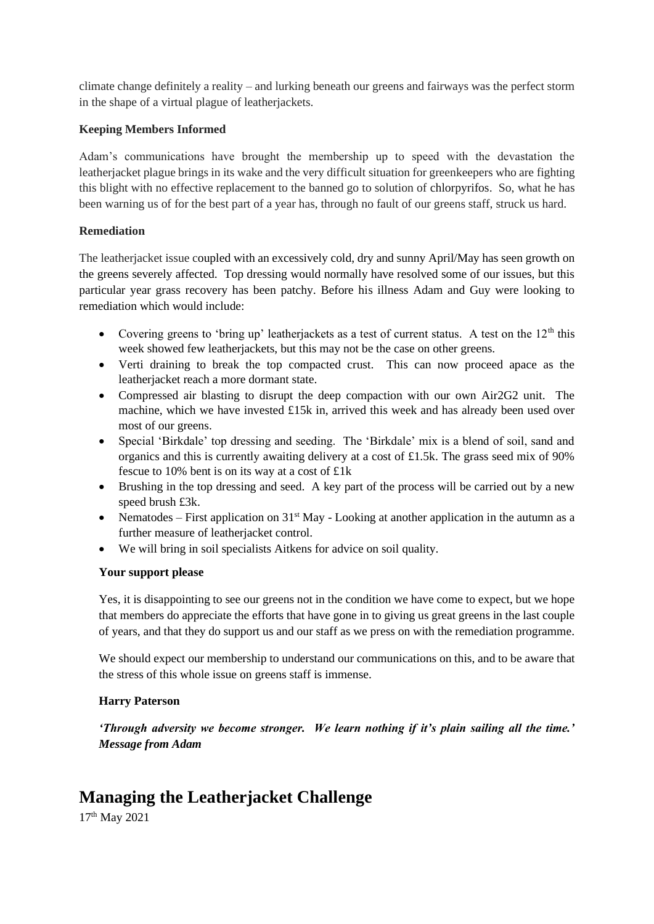climate change definitely a reality – and lurking beneath our greens and fairways was the perfect storm in the shape of a virtual plague of leatherjackets.

#### **Keeping Members Informed**

Adam's communications have brought the membership up to speed with the devastation the leatherjacket plague brings in its wake and the very difficult situation for greenkeepers who are fighting this blight with no effective replacement to the banned go to solution of chlorpyrifos. So, what he has been warning us of for the best part of a year has, through no fault of our greens staff, struck us hard.

### **Remediation**

The leatherjacket issue coupled with an excessively cold, dry and sunny April/May has seen growth on the greens severely affected. Top dressing would normally have resolved some of our issues, but this particular year grass recovery has been patchy. Before his illness Adam and Guy were looking to remediation which would include:

- Covering greens to 'bring up' leatherjackets as a test of current status. A test on the  $12<sup>th</sup>$  this week showed few leatherjackets, but this may not be the case on other greens.
- Verti draining to break the top compacted crust. This can now proceed apace as the leatherjacket reach a more dormant state.
- Compressed air blasting to disrupt the deep compaction with our own Air2G2 unit. The machine, which we have invested £15k in, arrived this week and has already been used over most of our greens.
- Special 'Birkdale' top dressing and seeding. The 'Birkdale' mix is a blend of soil, sand and organics and this is currently awaiting delivery at a cost of £1.5k. The grass seed mix of 90% fescue to 10% bent is on its way at a cost of £1k
- Brushing in the top dressing and seed. A key part of the process will be carried out by a new speed brush £3k.
- Nematodes First application on  $31<sup>st</sup>$  May Looking at another application in the autumn as a further measure of leatherjacket control.
- We will bring in soil specialists Aitkens for advice on soil quality.

### **Your support please**

Yes, it is disappointing to see our greens not in the condition we have come to expect, but we hope that members do appreciate the efforts that have gone in to giving us great greens in the last couple of years, and that they do support us and our staff as we press on with the remediation programme.

We should expect our membership to understand our communications on this, and to be aware that the stress of this whole issue on greens staff is immense.

### **Harry Paterson**

*'Through adversity we become stronger. We learn nothing if it's plain sailing all the time.' Message from Adam*

# **Managing the Leatherjacket Challenge**

17th May 2021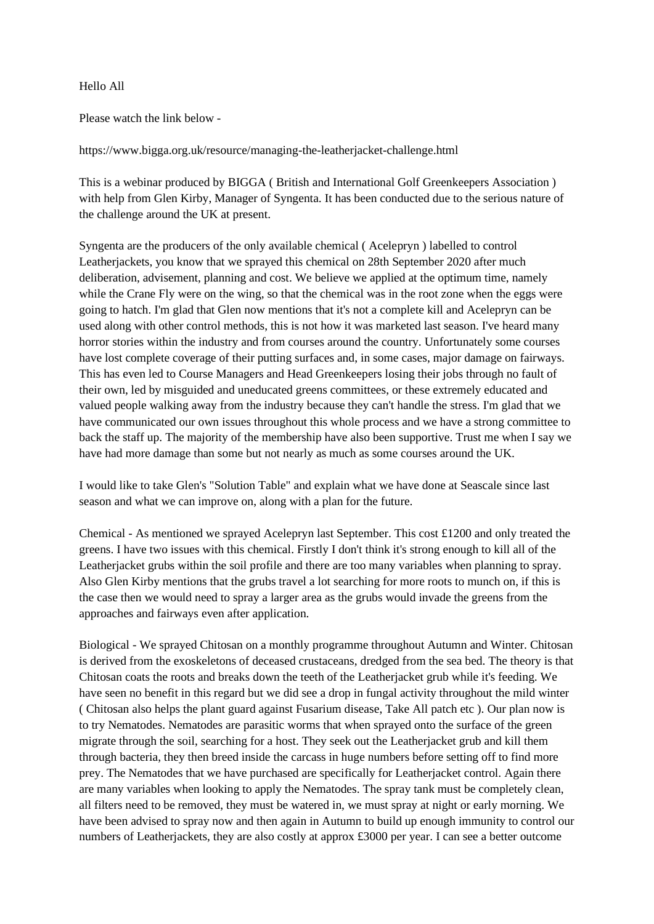#### Hello All

Please watch the link below -

https://www.bigga.org.uk/resource/managing-the-leatherjacket-challenge.html

This is a webinar produced by BIGGA ( British and International Golf Greenkeepers Association ) with help from Glen Kirby, Manager of Syngenta. It has been conducted due to the serious nature of the challenge around the UK at present.

Syngenta are the producers of the only available chemical ( Acelepryn ) labelled to control Leatherjackets, you know that we sprayed this chemical on 28th September 2020 after much deliberation, advisement, planning and cost. We believe we applied at the optimum time, namely while the Crane Fly were on the wing, so that the chemical was in the root zone when the eggs were going to hatch. I'm glad that Glen now mentions that it's not a complete kill and Acelepryn can be used along with other control methods, this is not how it was marketed last season. I've heard many horror stories within the industry and from courses around the country. Unfortunately some courses have lost complete coverage of their putting surfaces and, in some cases, major damage on fairways. This has even led to Course Managers and Head Greenkeepers losing their jobs through no fault of their own, led by misguided and uneducated greens committees, or these extremely educated and valued people walking away from the industry because they can't handle the stress. I'm glad that we have communicated our own issues throughout this whole process and we have a strong committee to back the staff up. The majority of the membership have also been supportive. Trust me when I say we have had more damage than some but not nearly as much as some courses around the UK.

I would like to take Glen's "Solution Table" and explain what we have done at Seascale since last season and what we can improve on, along with a plan for the future.

Chemical - As mentioned we sprayed Acelepryn last September. This cost £1200 and only treated the greens. I have two issues with this chemical. Firstly I don't think it's strong enough to kill all of the Leatherjacket grubs within the soil profile and there are too many variables when planning to spray. Also Glen Kirby mentions that the grubs travel a lot searching for more roots to munch on, if this is the case then we would need to spray a larger area as the grubs would invade the greens from the approaches and fairways even after application.

Biological - We sprayed Chitosan on a monthly programme throughout Autumn and Winter. Chitosan is derived from the exoskeletons of deceased crustaceans, dredged from the sea bed. The theory is that Chitosan coats the roots and breaks down the teeth of the Leatherjacket grub while it's feeding. We have seen no benefit in this regard but we did see a drop in fungal activity throughout the mild winter ( Chitosan also helps the plant guard against Fusarium disease, Take All patch etc ). Our plan now is to try Nematodes. Nematodes are parasitic worms that when sprayed onto the surface of the green migrate through the soil, searching for a host. They seek out the Leatherjacket grub and kill them through bacteria, they then breed inside the carcass in huge numbers before setting off to find more prey. The Nematodes that we have purchased are specifically for Leatherjacket control. Again there are many variables when looking to apply the Nematodes. The spray tank must be completely clean, all filters need to be removed, they must be watered in, we must spray at night or early morning. We have been advised to spray now and then again in Autumn to build up enough immunity to control our numbers of Leatherjackets, they are also costly at approx £3000 per year. I can see a better outcome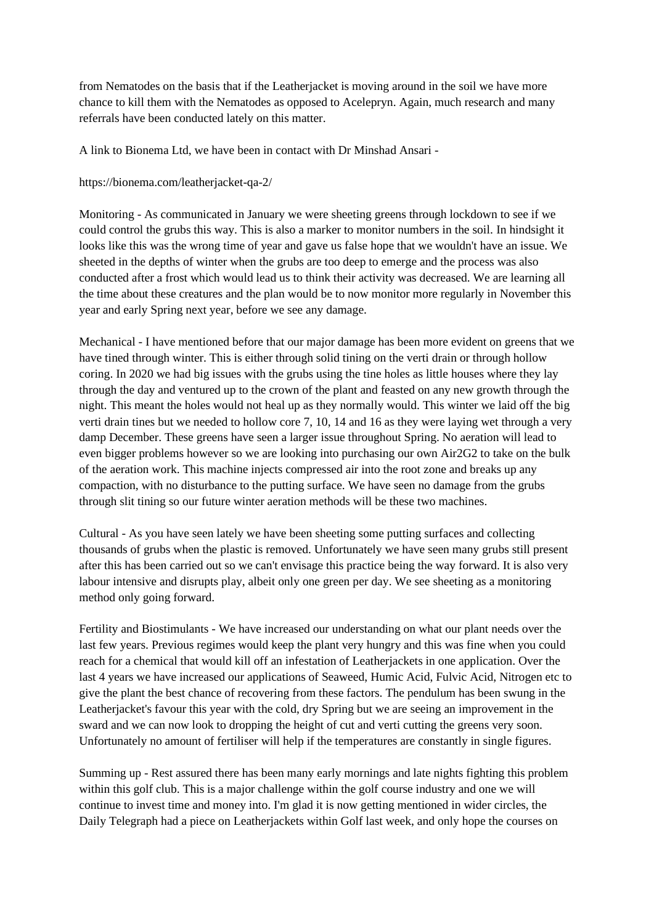from Nematodes on the basis that if the Leatherjacket is moving around in the soil we have more chance to kill them with the Nematodes as opposed to Acelepryn. Again, much research and many referrals have been conducted lately on this matter.

A link to Bionema Ltd, we have been in contact with Dr Minshad Ansari -

https://bionema.com/leatherjacket-qa-2/

Monitoring - As communicated in January we were sheeting greens through lockdown to see if we could control the grubs this way. This is also a marker to monitor numbers in the soil. In hindsight it looks like this was the wrong time of year and gave us false hope that we wouldn't have an issue. We sheeted in the depths of winter when the grubs are too deep to emerge and the process was also conducted after a frost which would lead us to think their activity was decreased. We are learning all the time about these creatures and the plan would be to now monitor more regularly in November this year and early Spring next year, before we see any damage.

Mechanical - I have mentioned before that our major damage has been more evident on greens that we have tined through winter. This is either through solid tining on the verti drain or through hollow coring. In 2020 we had big issues with the grubs using the tine holes as little houses where they lay through the day and ventured up to the crown of the plant and feasted on any new growth through the night. This meant the holes would not heal up as they normally would. This winter we laid off the big verti drain tines but we needed to hollow core 7, 10, 14 and 16 as they were laying wet through a very damp December. These greens have seen a larger issue throughout Spring. No aeration will lead to even bigger problems however so we are looking into purchasing our own Air2G2 to take on the bulk of the aeration work. This machine injects compressed air into the root zone and breaks up any compaction, with no disturbance to the putting surface. We have seen no damage from the grubs through slit tining so our future winter aeration methods will be these two machines.

Cultural - As you have seen lately we have been sheeting some putting surfaces and collecting thousands of grubs when the plastic is removed. Unfortunately we have seen many grubs still present after this has been carried out so we can't envisage this practice being the way forward. It is also very labour intensive and disrupts play, albeit only one green per day. We see sheeting as a monitoring method only going forward.

Fertility and Biostimulants - We have increased our understanding on what our plant needs over the last few years. Previous regimes would keep the plant very hungry and this was fine when you could reach for a chemical that would kill off an infestation of Leatherjackets in one application. Over the last 4 years we have increased our applications of Seaweed, Humic Acid, Fulvic Acid, Nitrogen etc to give the plant the best chance of recovering from these factors. The pendulum has been swung in the Leatherjacket's favour this year with the cold, dry Spring but we are seeing an improvement in the sward and we can now look to dropping the height of cut and verti cutting the greens very soon. Unfortunately no amount of fertiliser will help if the temperatures are constantly in single figures.

Summing up - Rest assured there has been many early mornings and late nights fighting this problem within this golf club. This is a major challenge within the golf course industry and one we will continue to invest time and money into. I'm glad it is now getting mentioned in wider circles, the Daily Telegraph had a piece on Leatherjackets within Golf last week, and only hope the courses on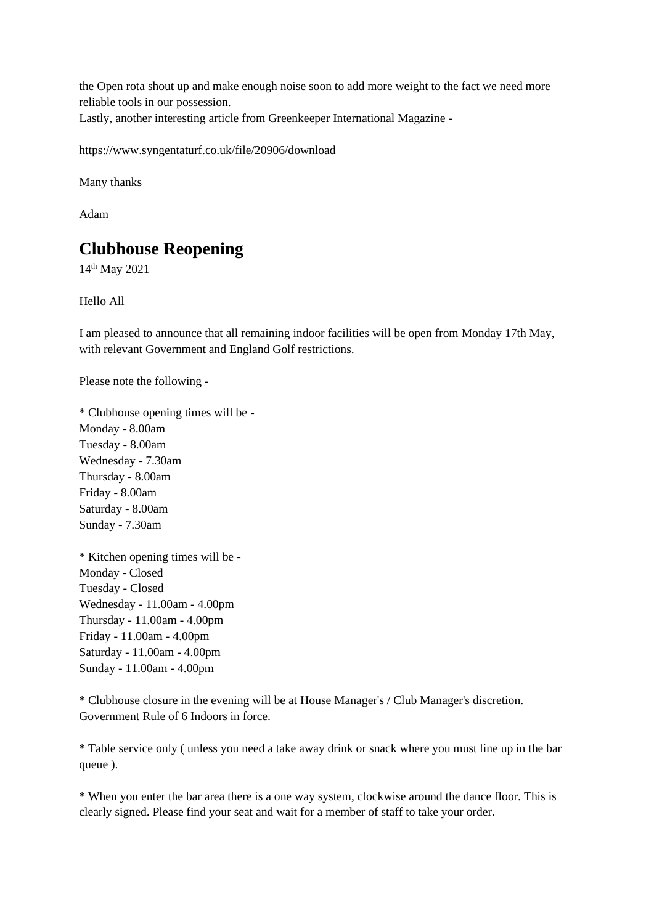the Open rota shout up and make enough noise soon to add more weight to the fact we need more reliable tools in our possession.

Lastly, another interesting article from Greenkeeper International Magazine -

https://www.syngentaturf.co.uk/file/20906/download

Many thanks

Adam

# **Clubhouse Reopening**

14th May 2021

Hello All

I am pleased to announce that all remaining indoor facilities will be open from Monday 17th May, with relevant Government and England Golf restrictions.

Please note the following -

\* Clubhouse opening times will be - Monday - 8.00am Tuesday - 8.00am Wednesday - 7.30am Thursday - 8.00am Friday - 8.00am Saturday - 8.00am Sunday - 7.30am

\* Kitchen opening times will be - Monday - Closed Tuesday - Closed Wednesday - 11.00am - 4.00pm Thursday - 11.00am - 4.00pm Friday - 11.00am - 4.00pm Saturday - 11.00am - 4.00pm Sunday - 11.00am - 4.00pm

\* Clubhouse closure in the evening will be at House Manager's / Club Manager's discretion. Government Rule of 6 Indoors in force.

\* Table service only ( unless you need a take away drink or snack where you must line up in the bar queue ).

\* When you enter the bar area there is a one way system, clockwise around the dance floor. This is clearly signed. Please find your seat and wait for a member of staff to take your order.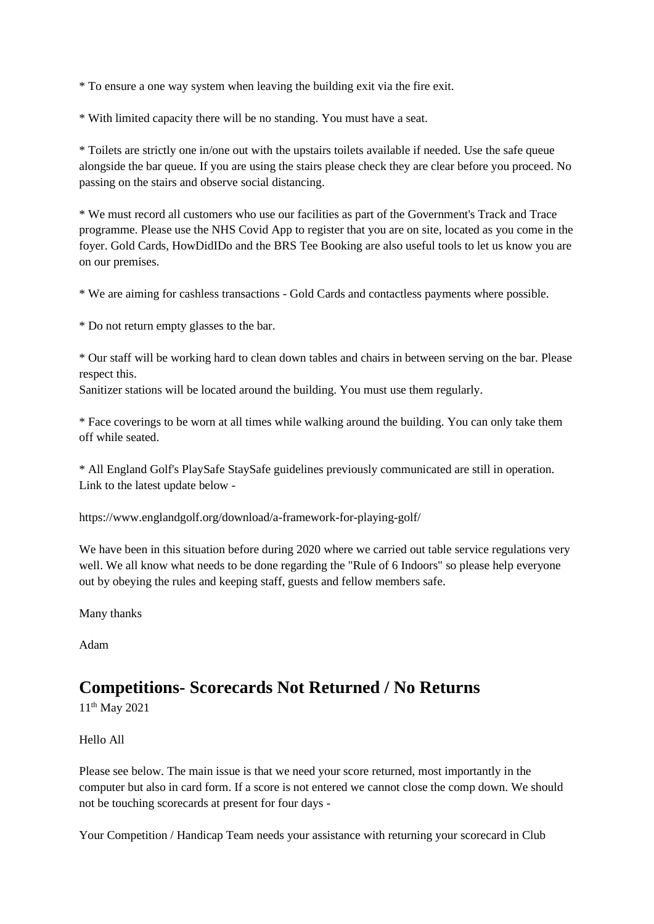\* To ensure a one way system when leaving the building exit via the fire exit.

\* With limited capacity there will be no standing. You must have a seat.

\* Toilets are strictly one in/one out with the upstairs toilets available if needed. Use the safe queue alongside the bar queue. If you are using the stairs please check they are clear before you proceed. No passing on the stairs and observe social distancing.

\* We must record all customers who use our facilities as part of the Government's Track and Trace programme. Please use the NHS Covid App to register that you are on site, located as you come in the foyer. Gold Cards, HowDidIDo and the BRS Tee Booking are also useful tools to let us know you are on our premises.

\* We are aiming for cashless transactions - Gold Cards and contactless payments where possible.

\* Do not return empty glasses to the bar.

\* Our staff will be working hard to clean down tables and chairs in between serving on the bar. Please respect this.

Sanitizer stations will be located around the building. You must use them regularly.

\* Face coverings to be worn at all times while walking around the building. You can only take them off while seated.

\* All England Golf's PlaySafe StaySafe guidelines previously communicated are still in operation. Link to the latest update below -

https://www.englandgolf.org/download/a-framework-for-playing-golf/

We have been in this situation before during 2020 where we carried out table service regulations very well. We all know what needs to be done regarding the "Rule of 6 Indoors" so please help everyone out by obeying the rules and keeping staff, guests and fellow members safe.

Many thanks

Adam

# **Competitions- Scorecards Not Returned / No Returns**

11th May 2021

Hello All

Please see below. The main issue is that we need your score returned, most importantly in the computer but also in card form. If a score is not entered we cannot close the comp down. We should not be touching scorecards at present for four days -

Your Competition / Handicap Team needs your assistance with returning your scorecard in Club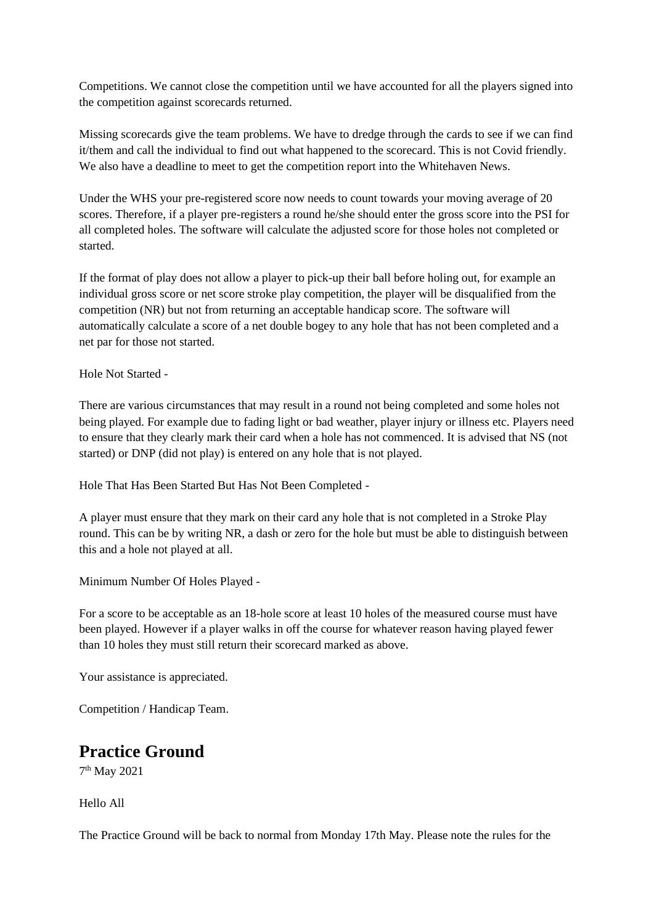Competitions. We cannot close the competition until we have accounted for all the players signed into the competition against scorecards returned.

Missing scorecards give the team problems. We have to dredge through the cards to see if we can find it/them and call the individual to find out what happened to the scorecard. This is not Covid friendly. We also have a deadline to meet to get the competition report into the Whitehaven News.

Under the WHS your pre-registered score now needs to count towards your moving average of 20 scores. Therefore, if a player pre-registers a round he/she should enter the gross score into the PSI for all completed holes. The software will calculate the adjusted score for those holes not completed or started.

If the format of play does not allow a player to pick-up their ball before holing out, for example an individual gross score or net score stroke play competition, the player will be disqualified from the competition (NR) but not from returning an acceptable handicap score. The software will automatically calculate a score of a net double bogey to any hole that has not been completed and a net par for those not started.

Hole Not Started -

There are various circumstances that may result in a round not being completed and some holes not being played. For example due to fading light or bad weather, player injury or illness etc. Players need to ensure that they clearly mark their card when a hole has not commenced. It is advised that NS (not started) or DNP (did not play) is entered on any hole that is not played.

Hole That Has Been Started But Has Not Been Completed -

A player must ensure that they mark on their card any hole that is not completed in a Stroke Play round. This can be by writing NR, a dash or zero for the hole but must be able to distinguish between this and a hole not played at all.

Minimum Number Of Holes Played -

For a score to be acceptable as an 18-hole score at least 10 holes of the measured course must have been played. However if a player walks in off the course for whatever reason having played fewer than 10 holes they must still return their scorecard marked as above.

Your assistance is appreciated.

Competition / Handicap Team.

### **Practice Ground**

7 th May 2021

Hello All

The Practice Ground will be back to normal from Monday 17th May. Please note the rules for the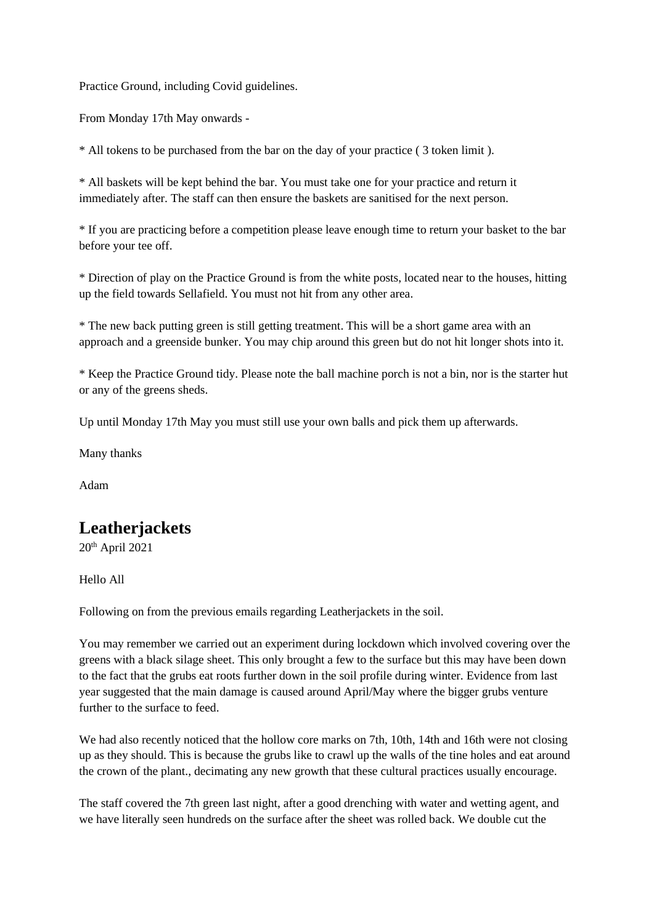Practice Ground, including Covid guidelines.

From Monday 17th May onwards -

\* All tokens to be purchased from the bar on the day of your practice ( 3 token limit ).

\* All baskets will be kept behind the bar. You must take one for your practice and return it immediately after. The staff can then ensure the baskets are sanitised for the next person.

\* If you are practicing before a competition please leave enough time to return your basket to the bar before your tee off.

\* Direction of play on the Practice Ground is from the white posts, located near to the houses, hitting up the field towards Sellafield. You must not hit from any other area.

\* The new back putting green is still getting treatment. This will be a short game area with an approach and a greenside bunker. You may chip around this green but do not hit longer shots into it.

\* Keep the Practice Ground tidy. Please note the ball machine porch is not a bin, nor is the starter hut or any of the greens sheds.

Up until Monday 17th May you must still use your own balls and pick them up afterwards.

Many thanks

Adam

# **Leatherjackets**

 $20<sup>th</sup>$  April 2021

Hello All

Following on from the previous emails regarding Leatherjackets in the soil.

You may remember we carried out an experiment during lockdown which involved covering over the greens with a black silage sheet. This only brought a few to the surface but this may have been down to the fact that the grubs eat roots further down in the soil profile during winter. Evidence from last year suggested that the main damage is caused around April/May where the bigger grubs venture further to the surface to feed.

We had also recently noticed that the hollow core marks on 7th, 10th, 14th and 16th were not closing up as they should. This is because the grubs like to crawl up the walls of the tine holes and eat around the crown of the plant., decimating any new growth that these cultural practices usually encourage.

The staff covered the 7th green last night, after a good drenching with water and wetting agent, and we have literally seen hundreds on the surface after the sheet was rolled back. We double cut the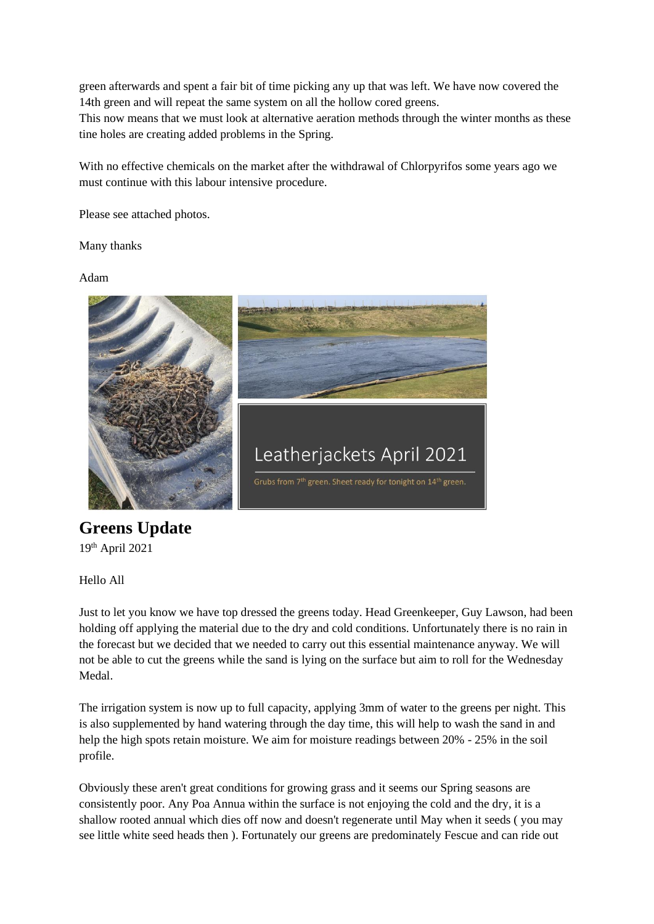green afterwards and spent a fair bit of time picking any up that was left. We have now covered the 14th green and will repeat the same system on all the hollow cored greens.

This now means that we must look at alternative aeration methods through the winter months as these tine holes are creating added problems in the Spring.

With no effective chemicals on the market after the withdrawal of Chlorpyrifos some years ago we must continue with this labour intensive procedure.

Please see attached photos.

Many thanks

Adam



# **Greens Update**

19th April 2021

Hello All

Just to let you know we have top dressed the greens today. Head Greenkeeper, Guy Lawson, had been holding off applying the material due to the dry and cold conditions. Unfortunately there is no rain in the forecast but we decided that we needed to carry out this essential maintenance anyway. We will not be able to cut the greens while the sand is lying on the surface but aim to roll for the Wednesday Medal.

The irrigation system is now up to full capacity, applying 3mm of water to the greens per night. This is also supplemented by hand watering through the day time, this will help to wash the sand in and help the high spots retain moisture. We aim for moisture readings between 20% - 25% in the soil profile.

Obviously these aren't great conditions for growing grass and it seems our Spring seasons are consistently poor. Any Poa Annua within the surface is not enjoying the cold and the dry, it is a shallow rooted annual which dies off now and doesn't regenerate until May when it seeds ( you may see little white seed heads then ). Fortunately our greens are predominately Fescue and can ride out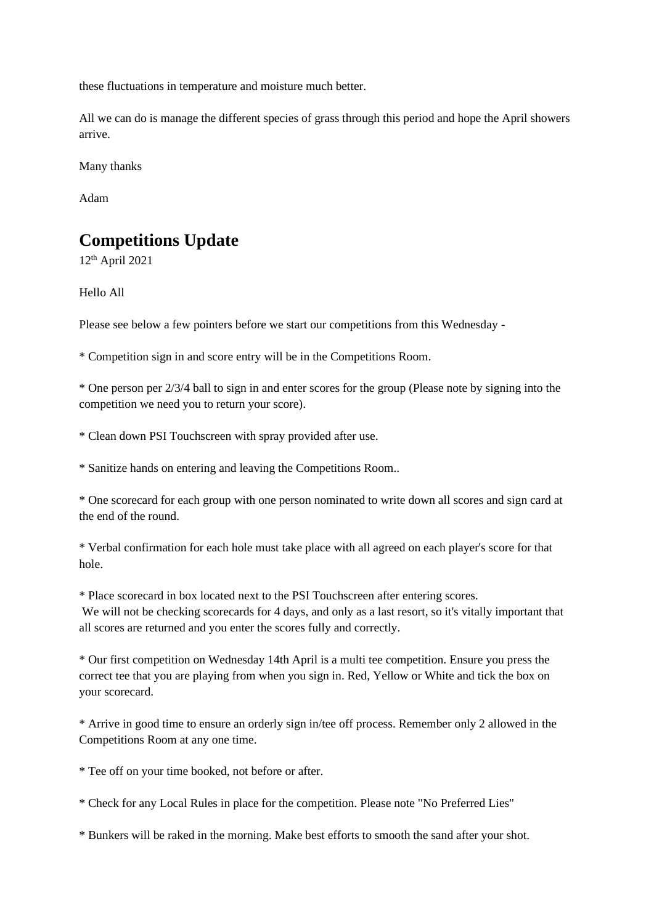these fluctuations in temperature and moisture much better.

All we can do is manage the different species of grass through this period and hope the April showers arrive.

Many thanks

Adam

# **Competitions Update**

12th April 2021

Hello All

Please see below a few pointers before we start our competitions from this Wednesday -

\* Competition sign in and score entry will be in the Competitions Room.

\* One person per 2/3/4 ball to sign in and enter scores for the group (Please note by signing into the competition we need you to return your score).

\* Clean down PSI Touchscreen with spray provided after use.

\* Sanitize hands on entering and leaving the Competitions Room..

\* One scorecard for each group with one person nominated to write down all scores and sign card at the end of the round.

\* Verbal confirmation for each hole must take place with all agreed on each player's score for that hole.

\* Place scorecard in box located next to the PSI Touchscreen after entering scores. We will not be checking scorecards for 4 days, and only as a last resort, so it's vitally important that all scores are returned and you enter the scores fully and correctly.

\* Our first competition on Wednesday 14th April is a multi tee competition. Ensure you press the correct tee that you are playing from when you sign in. Red, Yellow or White and tick the box on your scorecard.

\* Arrive in good time to ensure an orderly sign in/tee off process. Remember only 2 allowed in the Competitions Room at any one time.

\* Tee off on your time booked, not before or after.

\* Check for any Local Rules in place for the competition. Please note "No Preferred Lies"

\* Bunkers will be raked in the morning. Make best efforts to smooth the sand after your shot.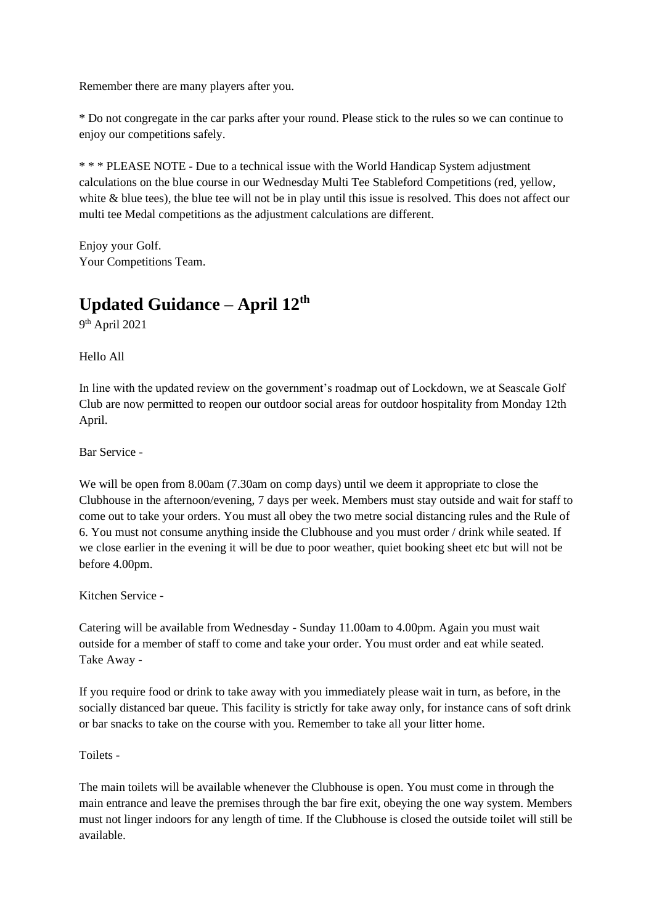Remember there are many players after you.

\* Do not congregate in the car parks after your round. Please stick to the rules so we can continue to enjoy our competitions safely.

\* \* \* PLEASE NOTE - Due to a technical issue with the World Handicap System adjustment calculations on the blue course in our Wednesday Multi Tee Stableford Competitions (red, yellow, white & blue tees), the blue tee will not be in play until this issue is resolved. This does not affect our multi tee Medal competitions as the adjustment calculations are different.

Enjoy your Golf. Your Competitions Team.

# **Updated Guidance – April 12th**

9 th April 2021

Hello All

In line with the updated review on the government's roadmap out of Lockdown, we at Seascale Golf Club are now permitted to reopen our outdoor social areas for outdoor hospitality from Monday 12th April.

Bar Service -

We will be open from 8.00am (7.30am on comp days) until we deem it appropriate to close the Clubhouse in the afternoon/evening, 7 days per week. Members must stay outside and wait for staff to come out to take your orders. You must all obey the two metre social distancing rules and the Rule of 6. You must not consume anything inside the Clubhouse and you must order / drink while seated. If we close earlier in the evening it will be due to poor weather, quiet booking sheet etc but will not be before 4.00pm.

Kitchen Service -

Catering will be available from Wednesday - Sunday 11.00am to 4.00pm. Again you must wait outside for a member of staff to come and take your order. You must order and eat while seated. Take Away -

If you require food or drink to take away with you immediately please wait in turn, as before, in the socially distanced bar queue. This facility is strictly for take away only, for instance cans of soft drink or bar snacks to take on the course with you. Remember to take all your litter home.

Toilets -

The main toilets will be available whenever the Clubhouse is open. You must come in through the main entrance and leave the premises through the bar fire exit, obeying the one way system. Members must not linger indoors for any length of time. If the Clubhouse is closed the outside toilet will still be available.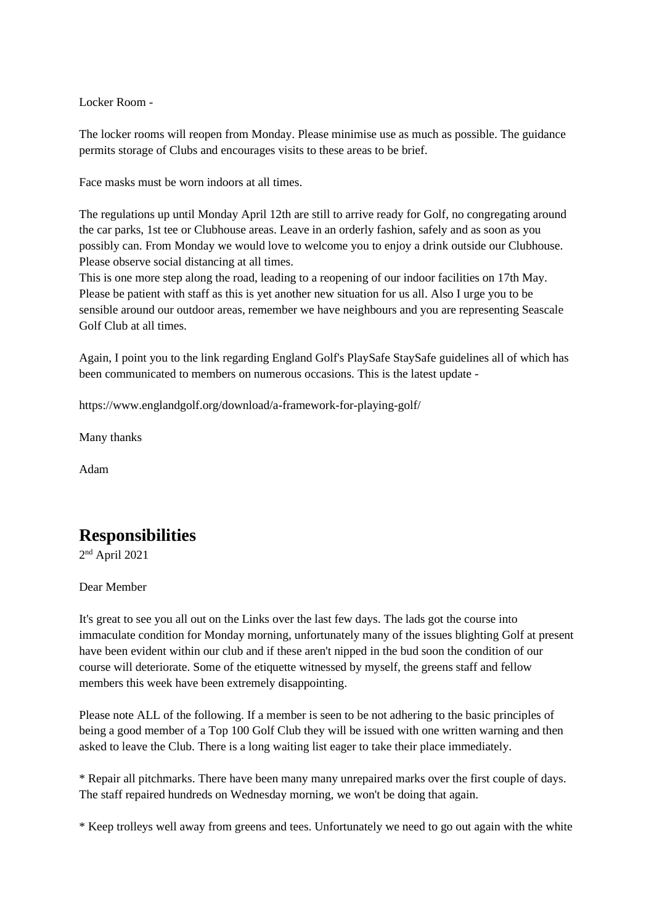Locker Room -

The locker rooms will reopen from Monday. Please minimise use as much as possible. The guidance permits storage of Clubs and encourages visits to these areas to be brief.

Face masks must be worn indoors at all times.

The regulations up until Monday April 12th are still to arrive ready for Golf, no congregating around the car parks, 1st tee or Clubhouse areas. Leave in an orderly fashion, safely and as soon as you possibly can. From Monday we would love to welcome you to enjoy a drink outside our Clubhouse. Please observe social distancing at all times.

This is one more step along the road, leading to a reopening of our indoor facilities on 17th May. Please be patient with staff as this is yet another new situation for us all. Also I urge you to be sensible around our outdoor areas, remember we have neighbours and you are representing Seascale Golf Club at all times.

Again, I point you to the link regarding England Golf's PlaySafe StaySafe guidelines all of which has been communicated to members on numerous occasions. This is the latest update -

https://www.englandgolf.org/download/a-framework-for-playing-golf/

Many thanks

Adam

# **Responsibilities**

2 nd April 2021

Dear Member

It's great to see you all out on the Links over the last few days. The lads got the course into immaculate condition for Monday morning, unfortunately many of the issues blighting Golf at present have been evident within our club and if these aren't nipped in the bud soon the condition of our course will deteriorate. Some of the etiquette witnessed by myself, the greens staff and fellow members this week have been extremely disappointing.

Please note ALL of the following. If a member is seen to be not adhering to the basic principles of being a good member of a Top 100 Golf Club they will be issued with one written warning and then asked to leave the Club. There is a long waiting list eager to take their place immediately.

\* Repair all pitchmarks. There have been many many unrepaired marks over the first couple of days. The staff repaired hundreds on Wednesday morning, we won't be doing that again.

\* Keep trolleys well away from greens and tees. Unfortunately we need to go out again with the white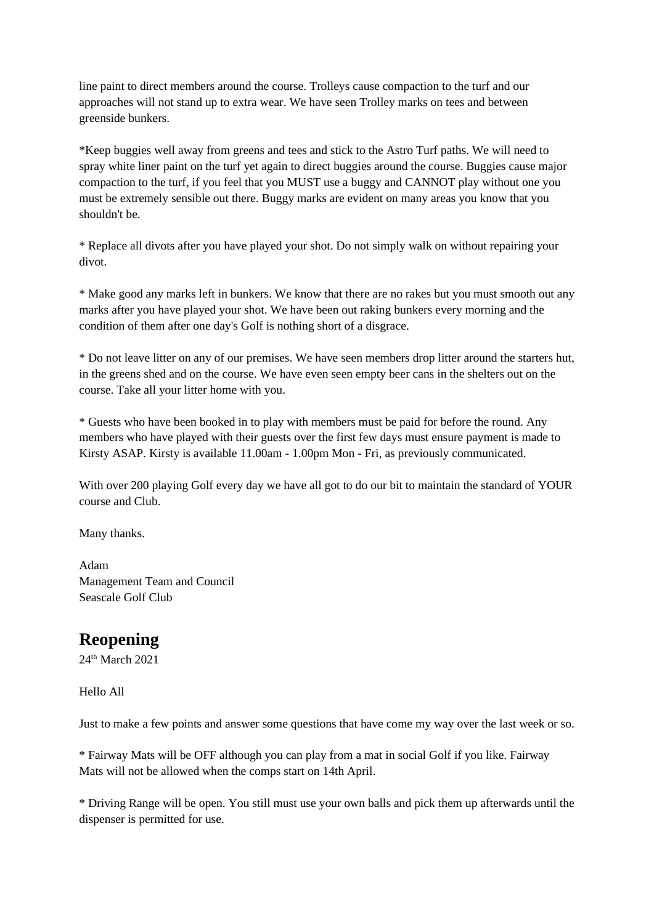line paint to direct members around the course. Trolleys cause compaction to the turf and our approaches will not stand up to extra wear. We have seen Trolley marks on tees and between greenside bunkers.

\*Keep buggies well away from greens and tees and stick to the Astro Turf paths. We will need to spray white liner paint on the turf yet again to direct buggies around the course. Buggies cause major compaction to the turf, if you feel that you MUST use a buggy and CANNOT play without one you must be extremely sensible out there. Buggy marks are evident on many areas you know that you shouldn't be.

\* Replace all divots after you have played your shot. Do not simply walk on without repairing your divot.

\* Make good any marks left in bunkers. We know that there are no rakes but you must smooth out any marks after you have played your shot. We have been out raking bunkers every morning and the condition of them after one day's Golf is nothing short of a disgrace.

\* Do not leave litter on any of our premises. We have seen members drop litter around the starters hut, in the greens shed and on the course. We have even seen empty beer cans in the shelters out on the course. Take all your litter home with you.

\* Guests who have been booked in to play with members must be paid for before the round. Any members who have played with their guests over the first few days must ensure payment is made to Kirsty ASAP. Kirsty is available 11.00am - 1.00pm Mon - Fri, as previously communicated.

With over 200 playing Golf every day we have all got to do our bit to maintain the standard of YOUR course and Club.

Many thanks.

Adam Management Team and Council Seascale Golf Club

# **Reopening**

24th March 2021

Hello All

Just to make a few points and answer some questions that have come my way over the last week or so.

\* Fairway Mats will be OFF although you can play from a mat in social Golf if you like. Fairway Mats will not be allowed when the comps start on 14th April.

\* Driving Range will be open. You still must use your own balls and pick them up afterwards until the dispenser is permitted for use.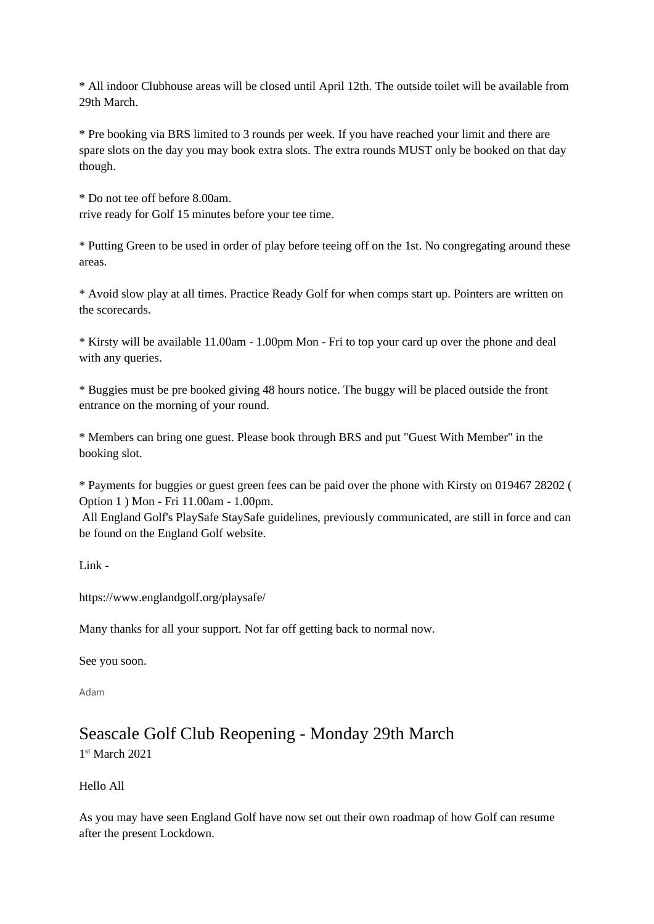\* All indoor Clubhouse areas will be closed until April 12th. The outside toilet will be available from 29th March.

\* Pre booking via BRS limited to 3 rounds per week. If you have reached your limit and there are spare slots on the day you may book extra slots. The extra rounds MUST only be booked on that day though.

\* Do not tee off before 8.00am. rrive ready for Golf 15 minutes before your tee time.

\* Putting Green to be used in order of play before teeing off on the 1st. No congregating around these areas.

\* Avoid slow play at all times. Practice Ready Golf for when comps start up. Pointers are written on the scorecards.

\* Kirsty will be available 11.00am - 1.00pm Mon - Fri to top your card up over the phone and deal with any queries.

\* Buggies must be pre booked giving 48 hours notice. The buggy will be placed outside the front entrance on the morning of your round.

\* Members can bring one guest. Please book through BRS and put "Guest With Member" in the booking slot.

\* Payments for buggies or guest green fees can be paid over the phone with Kirsty on 019467 28202 ( Option 1 ) Mon - Fri 11.00am - 1.00pm.

All England Golf's PlaySafe StaySafe guidelines, previously communicated, are still in force and can be found on the England Golf website.

 $Link -$ 

https://www.englandgolf.org/playsafe/

Many thanks for all your support. Not far off getting back to normal now.

See you soon.

Adam

### Seascale Golf Club Reopening - Monday 29th March 1 st March 2021

Hello All

As you may have seen England Golf have now set out their own roadmap of how Golf can resume after the present Lockdown.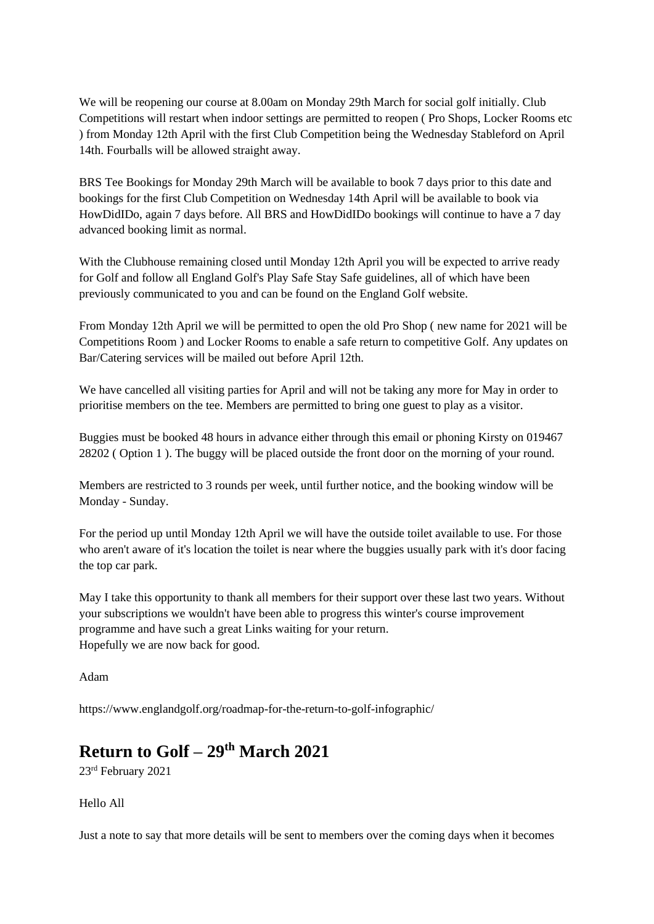We will be reopening our course at 8.00am on Monday 29th March for social golf initially. Club Competitions will restart when indoor settings are permitted to reopen ( Pro Shops, Locker Rooms etc ) from Monday 12th April with the first Club Competition being the Wednesday Stableford on April 14th. Fourballs will be allowed straight away.

BRS Tee Bookings for Monday 29th March will be available to book 7 days prior to this date and bookings for the first Club Competition on Wednesday 14th April will be available to book via HowDidIDo, again 7 days before. All BRS and HowDidIDo bookings will continue to have a 7 day advanced booking limit as normal.

With the Clubhouse remaining closed until Monday 12th April you will be expected to arrive ready for Golf and follow all England Golf's Play Safe Stay Safe guidelines, all of which have been previously communicated to you and can be found on the England Golf website.

From Monday 12th April we will be permitted to open the old Pro Shop ( new name for 2021 will be Competitions Room ) and Locker Rooms to enable a safe return to competitive Golf. Any updates on Bar/Catering services will be mailed out before April 12th.

We have cancelled all visiting parties for April and will not be taking any more for May in order to prioritise members on the tee. Members are permitted to bring one guest to play as a visitor.

Buggies must be booked 48 hours in advance either through this email or phoning Kirsty on 019467 28202 ( Option 1 ). The buggy will be placed outside the front door on the morning of your round.

Members are restricted to 3 rounds per week, until further notice, and the booking window will be Monday - Sunday.

For the period up until Monday 12th April we will have the outside toilet available to use. For those who aren't aware of it's location the toilet is near where the buggies usually park with it's door facing the top car park.

May I take this opportunity to thank all members for their support over these last two years. Without your subscriptions we wouldn't have been able to progress this winter's course improvement programme and have such a great Links waiting for your return. Hopefully we are now back for good.

Adam

https://www.englandgolf.org/roadmap-for-the-return-to-golf-infographic/

# **Return to Golf – 29th March 2021**

23rd February 2021

Hello All

Just a note to say that more details will be sent to members over the coming days when it becomes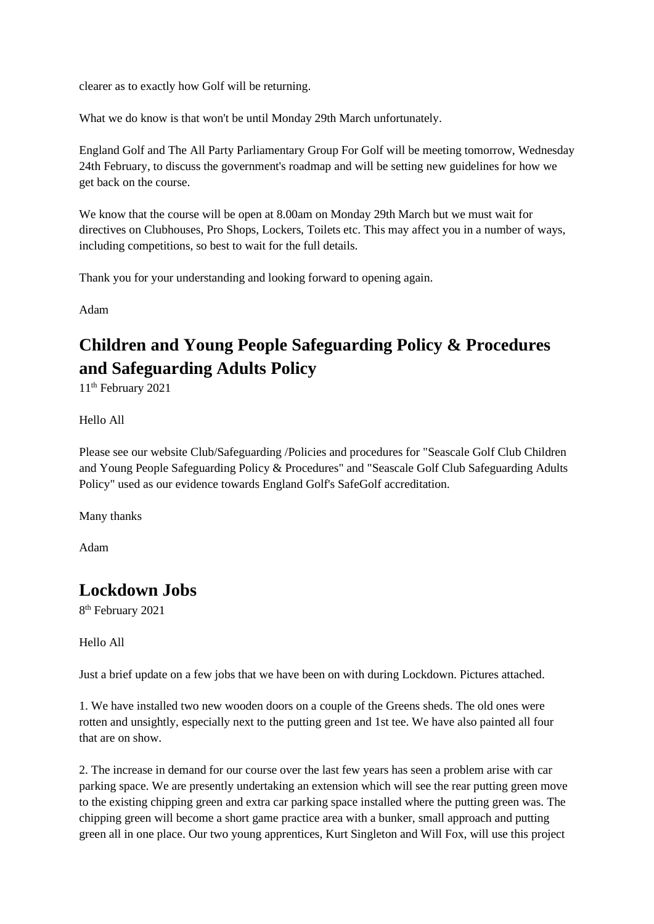clearer as to exactly how Golf will be returning.

What we do know is that won't be until Monday 29th March unfortunately.

England Golf and The All Party Parliamentary Group For Golf will be meeting tomorrow, Wednesday 24th February, to discuss the government's roadmap and will be setting new guidelines for how we get back on the course.

We know that the course will be open at 8.00am on Monday 29th March but we must wait for directives on Clubhouses, Pro Shops, Lockers, Toilets etc. This may affect you in a number of ways, including competitions, so best to wait for the full details.

Thank you for your understanding and looking forward to opening again.

Adam

# **Children and Young People Safeguarding Policy & Procedures and Safeguarding Adults Policy**

11th February 2021

Hello All

Please see our website Club/Safeguarding /Policies and procedures for "Seascale Golf Club Children and Young People Safeguarding Policy & Procedures" and "Seascale Golf Club Safeguarding Adults Policy" used as our evidence towards England Golf's SafeGolf accreditation.

Many thanks

Adam

# **Lockdown Jobs**

8 th February 2021

Hello All

Just a brief update on a few jobs that we have been on with during Lockdown. Pictures attached.

1. We have installed two new wooden doors on a couple of the Greens sheds. The old ones were rotten and unsightly, especially next to the putting green and 1st tee. We have also painted all four that are on show.

2. The increase in demand for our course over the last few years has seen a problem arise with car parking space. We are presently undertaking an extension which will see the rear putting green move to the existing chipping green and extra car parking space installed where the putting green was. The chipping green will become a short game practice area with a bunker, small approach and putting green all in one place. Our two young apprentices, Kurt Singleton and Will Fox, will use this project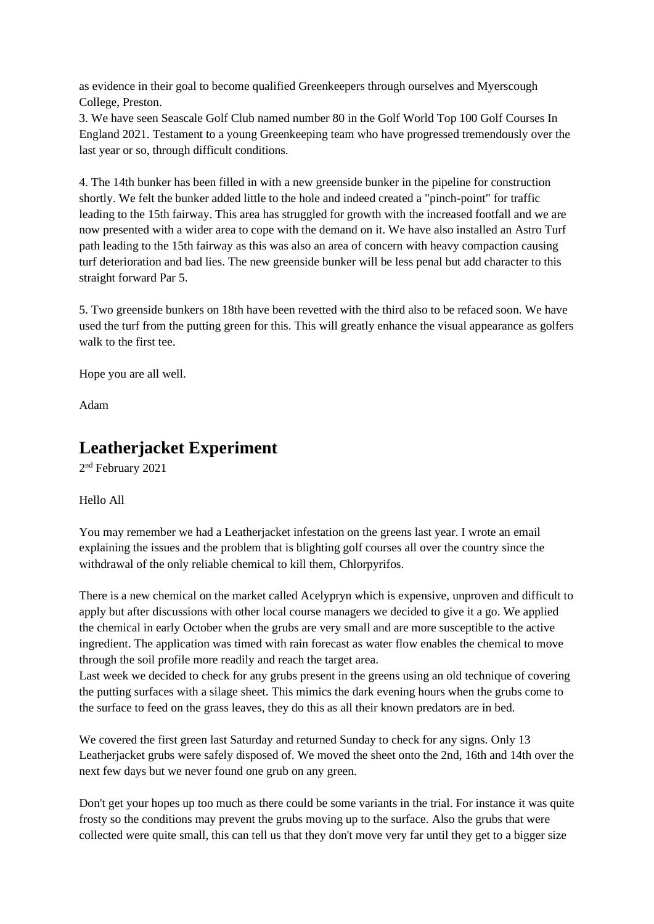as evidence in their goal to become qualified Greenkeepers through ourselves and Myerscough College, Preston.

3. We have seen Seascale Golf Club named number 80 in the Golf World Top 100 Golf Courses In England 2021. Testament to a young Greenkeeping team who have progressed tremendously over the last year or so, through difficult conditions.

4. The 14th bunker has been filled in with a new greenside bunker in the pipeline for construction shortly. We felt the bunker added little to the hole and indeed created a "pinch-point" for traffic leading to the 15th fairway. This area has struggled for growth with the increased footfall and we are now presented with a wider area to cope with the demand on it. We have also installed an Astro Turf path leading to the 15th fairway as this was also an area of concern with heavy compaction causing turf deterioration and bad lies. The new greenside bunker will be less penal but add character to this straight forward Par 5.

5. Two greenside bunkers on 18th have been revetted with the third also to be refaced soon. We have used the turf from the putting green for this. This will greatly enhance the visual appearance as golfers walk to the first tee.

Hope you are all well.

Adam

### **Leatherjacket Experiment**

2<sup>nd</sup> February 2021

#### Hello All

You may remember we had a Leatherjacket infestation on the greens last year. I wrote an email explaining the issues and the problem that is blighting golf courses all over the country since the withdrawal of the only reliable chemical to kill them, Chlorpyrifos.

There is a new chemical on the market called Acelypryn which is expensive, unproven and difficult to apply but after discussions with other local course managers we decided to give it a go. We applied the chemical in early October when the grubs are very small and are more susceptible to the active ingredient. The application was timed with rain forecast as water flow enables the chemical to move through the soil profile more readily and reach the target area.

Last week we decided to check for any grubs present in the greens using an old technique of covering the putting surfaces with a silage sheet. This mimics the dark evening hours when the grubs come to the surface to feed on the grass leaves, they do this as all their known predators are in bed.

We covered the first green last Saturday and returned Sunday to check for any signs. Only 13 Leatherjacket grubs were safely disposed of. We moved the sheet onto the 2nd, 16th and 14th over the next few days but we never found one grub on any green.

Don't get your hopes up too much as there could be some variants in the trial. For instance it was quite frosty so the conditions may prevent the grubs moving up to the surface. Also the grubs that were collected were quite small, this can tell us that they don't move very far until they get to a bigger size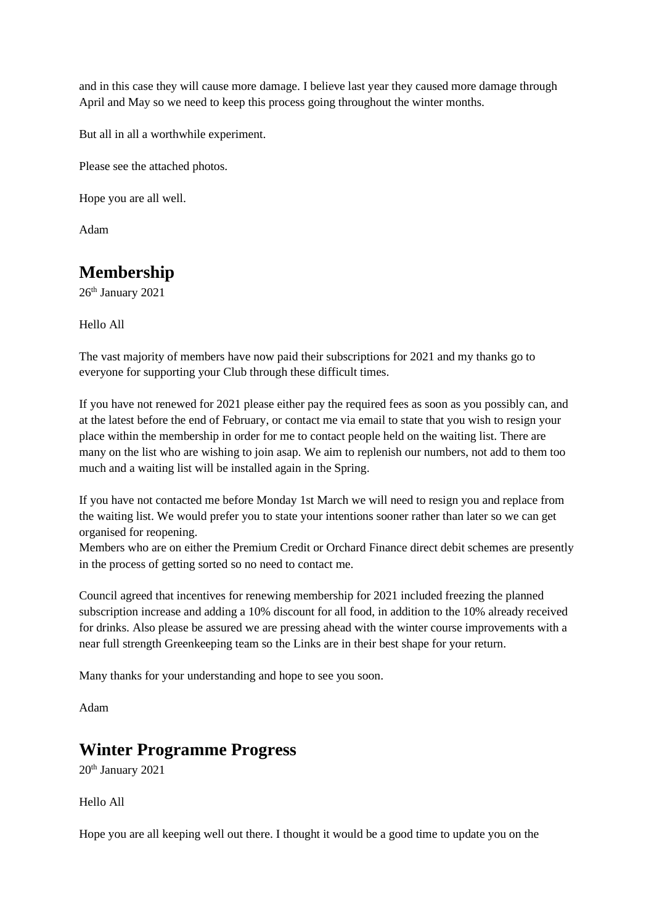and in this case they will cause more damage. I believe last year they caused more damage through April and May so we need to keep this process going throughout the winter months.

But all in all a worthwhile experiment.

Please see the attached photos.

Hope you are all well.

Adam

# **Membership**

26<sup>th</sup> January 2021

Hello All

The vast majority of members have now paid their subscriptions for 2021 and my thanks go to everyone for supporting your Club through these difficult times.

If you have not renewed for 2021 please either pay the required fees as soon as you possibly can, and at the latest before the end of February, or contact me via email to state that you wish to resign your place within the membership in order for me to contact people held on the waiting list. There are many on the list who are wishing to join asap. We aim to replenish our numbers, not add to them too much and a waiting list will be installed again in the Spring.

If you have not contacted me before Monday 1st March we will need to resign you and replace from the waiting list. We would prefer you to state your intentions sooner rather than later so we can get organised for reopening.

Members who are on either the Premium Credit or Orchard Finance direct debit schemes are presently in the process of getting sorted so no need to contact me.

Council agreed that incentives for renewing membership for 2021 included freezing the planned subscription increase and adding a 10% discount for all food, in addition to the 10% already received for drinks. Also please be assured we are pressing ahead with the winter course improvements with a near full strength Greenkeeping team so the Links are in their best shape for your return.

Many thanks for your understanding and hope to see you soon.

Adam

# **Winter Programme Progress**

20<sup>th</sup> January 2021

Hello All

Hope you are all keeping well out there. I thought it would be a good time to update you on the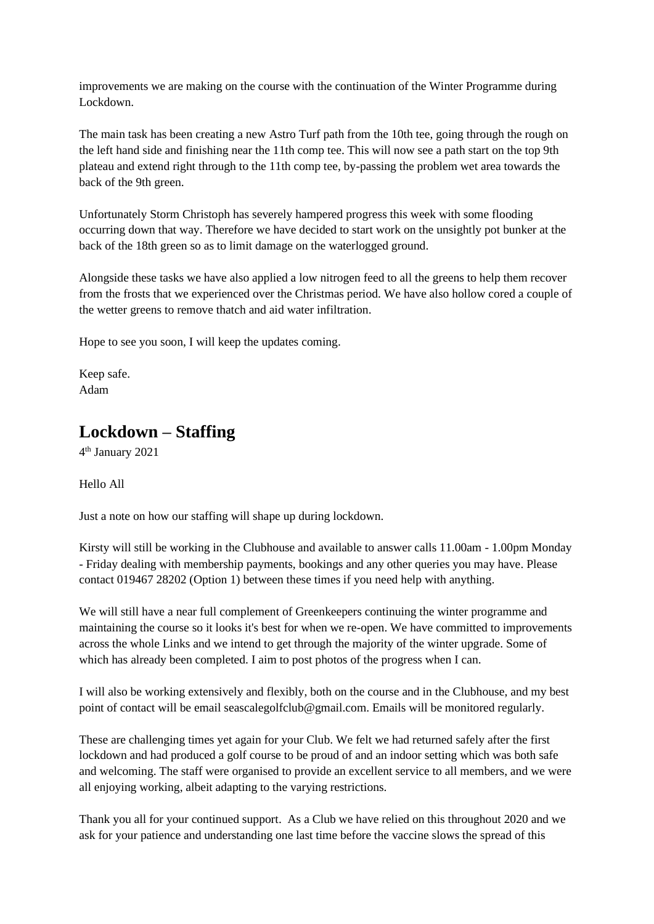improvements we are making on the course with the continuation of the Winter Programme during Lockdown.

The main task has been creating a new Astro Turf path from the 10th tee, going through the rough on the left hand side and finishing near the 11th comp tee. This will now see a path start on the top 9th plateau and extend right through to the 11th comp tee, by-passing the problem wet area towards the back of the 9th green.

Unfortunately Storm Christoph has severely hampered progress this week with some flooding occurring down that way. Therefore we have decided to start work on the unsightly pot bunker at the back of the 18th green so as to limit damage on the waterlogged ground.

Alongside these tasks we have also applied a low nitrogen feed to all the greens to help them recover from the frosts that we experienced over the Christmas period. We have also hollow cored a couple of the wetter greens to remove thatch and aid water infiltration.

Hope to see you soon, I will keep the updates coming.

Keep safe. Adam

# **Lockdown – Staffing**

4 th January 2021

Hello All

Just a note on how our staffing will shape up during lockdown.

Kirsty will still be working in the Clubhouse and available to answer calls 11.00am - 1.00pm Monday - Friday dealing with membership payments, bookings and any other queries you may have. Please contact 019467 28202 (Option 1) between these times if you need help with anything.

We will still have a near full complement of Greenkeepers continuing the winter programme and maintaining the course so it looks it's best for when we re-open. We have committed to improvements across the whole Links and we intend to get through the majority of the winter upgrade. Some of which has already been completed. I aim to post photos of the progress when I can.

I will also be working extensively and flexibly, both on the course and in the Clubhouse, and my best point of contact will be email seascalegolfclub@gmail.com. Emails will be monitored regularly.

These are challenging times yet again for your Club. We felt we had returned safely after the first lockdown and had produced a golf course to be proud of and an indoor setting which was both safe and welcoming. The staff were organised to provide an excellent service to all members, and we were all enjoying working, albeit adapting to the varying restrictions.

Thank you all for your continued support. As a Club we have relied on this throughout 2020 and we ask for your patience and understanding one last time before the vaccine slows the spread of this